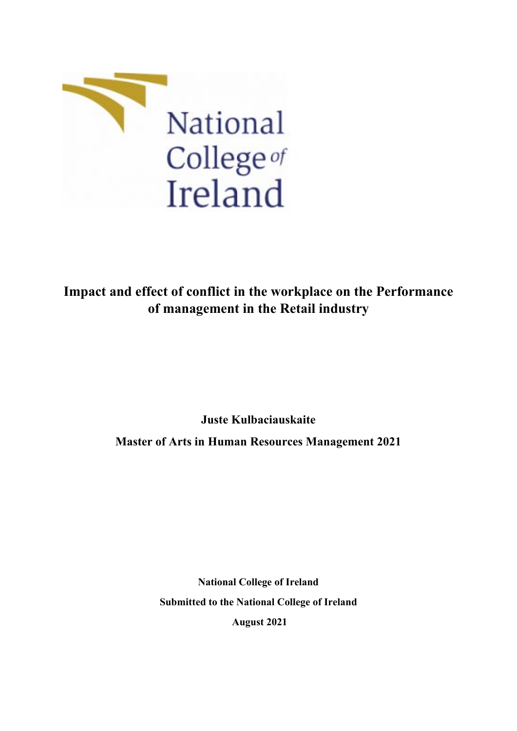

**Impact and effect of conflict in the workplace on the Performance of management in the Retail industry**

> **Juste Kulbaciauskaite Master of Arts in Human Resources Management 2021**

> > **National College of Ireland Submitted to the National College of Ireland August 2021**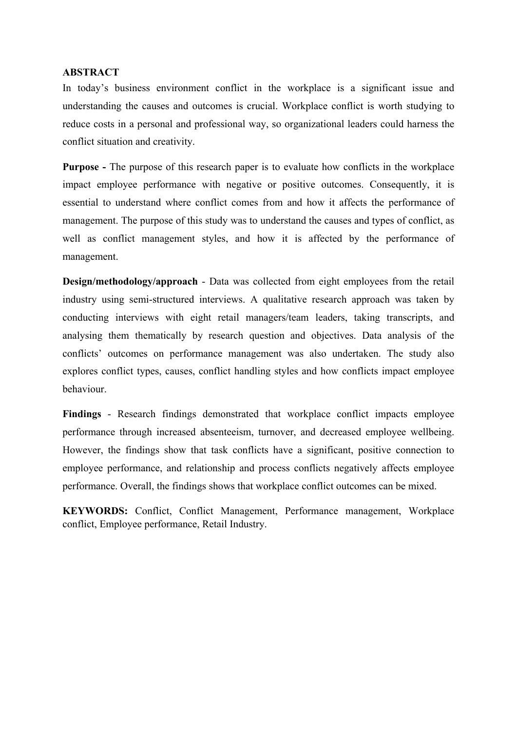## <span id="page-1-0"></span>**ABSTRACT**

In today's business environment conflict in the workplace is a significant issue and understanding the causes and outcomes is crucial. Workplace conflict is worth studying to reduce costs in a personal and professional way, so organizational leaders could harness the conflict situation and creativity.

**Purpose -** The purpose of this research paper is to evaluate how conflicts in the workplace impact employee performance with negative or positive outcomes. Consequently, it is essential to understand where conflict comes from and how it affects the performance of management. The purpose of this study was to understand the causes and types of conflict, as well as conflict management styles, and how it is affected by the performance of management.

**Design/methodology/approach** - Data was collected from eight employees from the retail industry using semi-structured interviews. A qualitative research approach was taken by conducting interviews with eight retail managers/team leaders, taking transcripts, and analysing them thematically by research question and objectives. Data analysis of the conflicts' outcomes on performance management was also undertaken. The study also explores conflict types, causes, conflict handling styles and how conflicts impact employee behaviour.

**Findings** - Research findings demonstrated that workplace conflict impacts employee performance through increased absenteeism, turnover, and decreased employee wellbeing. However, the findings show that task conflicts have a significant, positive connection to employee performance, and relationship and process conflicts negatively affects employee performance. Overall, the findings shows that workplace conflict outcomes can be mixed.

**KEYWORDS:** Conflict, Conflict Management, Performance management, Workplace conflict, Employee performance, Retail Industry.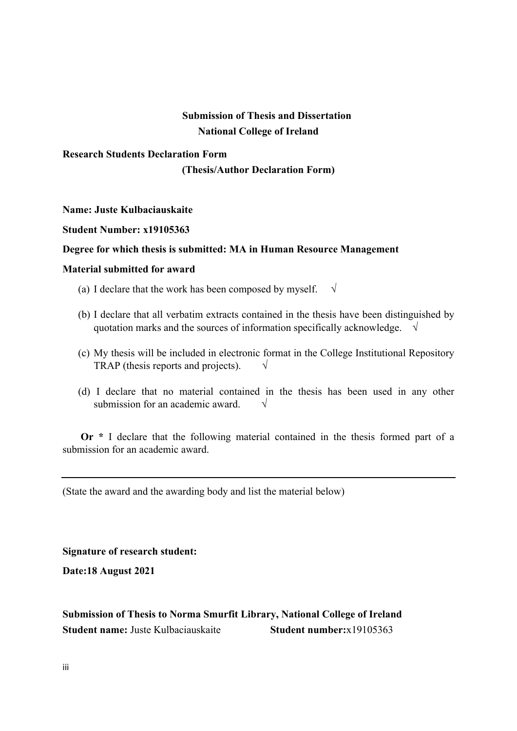# <span id="page-2-0"></span> **Submission of Thesis and Dissertation National College of Ireland**

# <span id="page-2-1"></span>**Research Students Declaration Form**

**(Thesis/Author Declaration Form)**

## **Name: Juste Kulbaciauskaite**

## **Student Number: x19105363**

## **Degree for which thesis is submitted: MA in Human Resource Management**

## **Material submitted for award**

- (a) I declare that the work has been composed by myself.  $\sqrt{ }$
- (b) I declare that all verbatim extracts contained in the thesis have been distinguished by quotation marks and the sources of information specifically acknowledge.  $\sqrt{}$
- (c) My thesis will be included in electronic format in the College Institutional Repository TRAP (thesis reports and projects).  $\sqrt{ }$
- (d) I declare that no material contained in the thesis has been used in any other submission for an academic award.  $\sqrt{}$

 **Or \*** I declare that the following material contained in the thesis formed part of a submission for an academic award.

(State the award and the awarding body and list the material below)

**Signature of research student:**

**Date:18 August 2021**

# <span id="page-2-2"></span>**Submission of Thesis to Norma Smurfit Library, National College of Ireland Student name:** Juste Kulbaciauskaite **Student number:**x19105363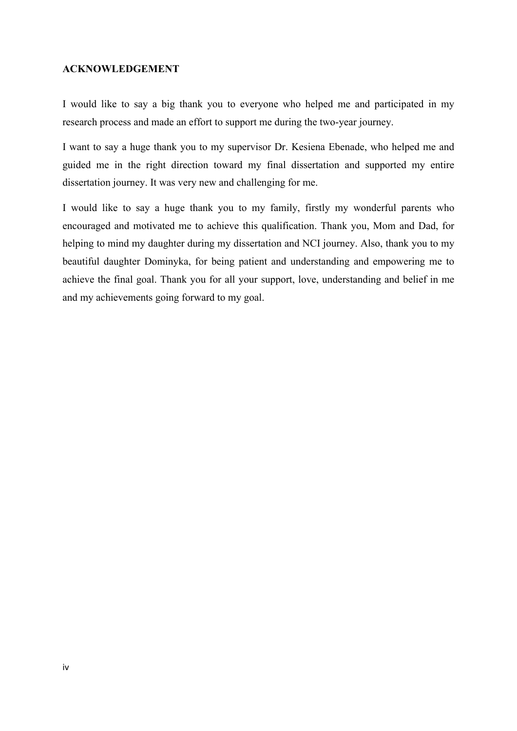#### <span id="page-3-0"></span>**ACKNOWLEDGEMENT**

I would like to say a big thank you to everyone who helped me and participated in my research process and made an effort to support me during the two-year journey.

I want to say a huge thank you to my supervisor Dr. Kesiena Ebenade, who helped me and guided me in the right direction toward my final dissertation and supported my entire dissertation journey. It was very new and challenging for me.

I would like to say a huge thank you to my family, firstly my wonderful parents who encouraged and motivated me to achieve this qualification. Thank you, Mom and Dad, for helping to mind my daughter during my dissertation and NCI journey. Also, thank you to my beautiful daughter Dominyka, for being patient and understanding and empowering me to achieve the final goal. Thank you for all your support, love, understanding and belief in me and my achievements going forward to my goal.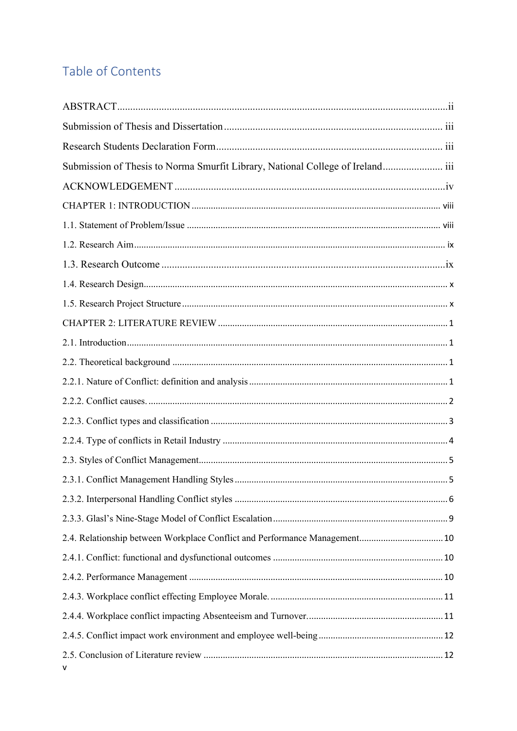# Table of Contents

| Submission of Thesis to Norma Smurfit Library, National College of Ireland iii |  |
|--------------------------------------------------------------------------------|--|
|                                                                                |  |
|                                                                                |  |
|                                                                                |  |
|                                                                                |  |
|                                                                                |  |
|                                                                                |  |
|                                                                                |  |
|                                                                                |  |
|                                                                                |  |
|                                                                                |  |
|                                                                                |  |
|                                                                                |  |
|                                                                                |  |
|                                                                                |  |
|                                                                                |  |
|                                                                                |  |
|                                                                                |  |
|                                                                                |  |
| 2.4. Relationship between Workplace Conflict and Performance Management 10     |  |
|                                                                                |  |
|                                                                                |  |
|                                                                                |  |
|                                                                                |  |
|                                                                                |  |
|                                                                                |  |
| ۷                                                                              |  |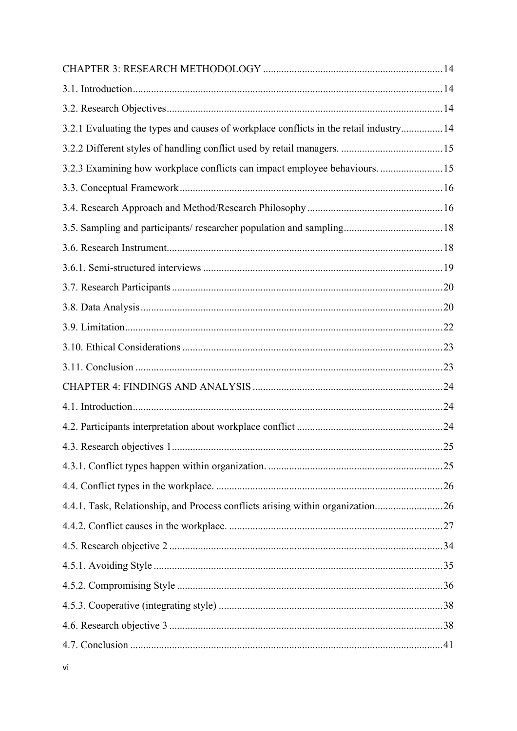| 3.2.1 Evaluating the types and causes of workplace conflicts in the retail industry 14 |  |
|----------------------------------------------------------------------------------------|--|
|                                                                                        |  |
| 3.2.3 Examining how workplace conflicts can impact employee behaviours15               |  |
|                                                                                        |  |
|                                                                                        |  |
| 3.5. Sampling and participants/researcher population and sampling 18                   |  |
|                                                                                        |  |
|                                                                                        |  |
|                                                                                        |  |
|                                                                                        |  |
|                                                                                        |  |
|                                                                                        |  |
|                                                                                        |  |
|                                                                                        |  |
|                                                                                        |  |
|                                                                                        |  |
|                                                                                        |  |
|                                                                                        |  |
|                                                                                        |  |
| 4.4.1. Task, Relationship, and Process conflicts arising within organization26         |  |
|                                                                                        |  |
|                                                                                        |  |
|                                                                                        |  |
|                                                                                        |  |
|                                                                                        |  |
|                                                                                        |  |
|                                                                                        |  |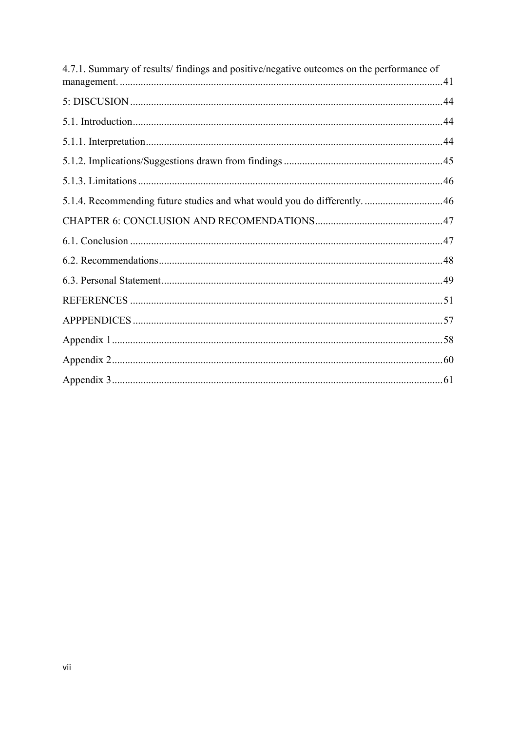| 4.7.1. Summary of results/findings and positive/negative outcomes on the performance of |  |
|-----------------------------------------------------------------------------------------|--|
|                                                                                         |  |
|                                                                                         |  |
|                                                                                         |  |
|                                                                                         |  |
|                                                                                         |  |
|                                                                                         |  |
| 5.1.4. Recommending future studies and what would you do differently.  46               |  |
|                                                                                         |  |
|                                                                                         |  |
|                                                                                         |  |
|                                                                                         |  |
|                                                                                         |  |
|                                                                                         |  |
|                                                                                         |  |
|                                                                                         |  |
|                                                                                         |  |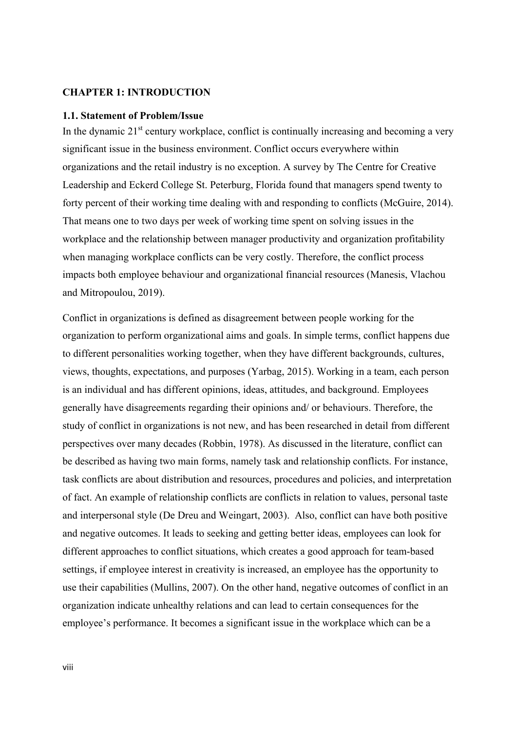## <span id="page-7-0"></span>**CHAPTER 1: INTRODUCTION**

#### <span id="page-7-1"></span>**1.1. Statement of Problem/Issue**

In the dynamic  $21<sup>st</sup>$  century workplace, conflict is continually increasing and becoming a very significant issue in the business environment. Conflict occurs everywhere within organizations and the retail industry is no exception. A survey by The Centre for Creative Leadership and Eckerd College St. Peterburg, Florida found that managers spend twenty to forty percent of their working time dealing with and responding to conflicts (McGuire, 2014). That means one to two days per week of working time spent on solving issues in the workplace and the relationship between manager productivity and organization profitability when managing workplace conflicts can be very costly. Therefore, the conflict process impacts both employee behaviour and organizational financial resources (Manesis, Vlachou and Mitropoulou, 2019).

Conflict in organizations is defined as disagreement between people working for the organization to perform organizational aims and goals. In simple terms, conflict happens due to different personalities working together, when they have different backgrounds, cultures, views, thoughts, expectations, and purposes (Yarbag, 2015). Working in a team, each person is an individual and has different opinions, ideas, attitudes, and background. Employees generally have disagreements regarding their opinions and/ or behaviours. Therefore, the study of conflict in organizations is not new, and has been researched in detail from different perspectives over many decades (Robbin, 1978). As discussed in the literature, conflict can be described as having two main forms, namely task and relationship conflicts. For instance, task conflicts are about distribution and resources, procedures and policies, and interpretation of fact. An example of relationship conflicts are conflicts in relation to values, personal taste and interpersonal style (De Dreu and Weingart, 2003). Also, conflict can have both positive and negative outcomes. It leads to seeking and getting better ideas, employees can look for different approaches to conflict situations, which creates a good approach for team-based settings, if employee interest in creativity is increased, an employee has the opportunity to use their capabilities (Mullins, 2007). On the other hand, negative outcomes of conflict in an organization indicate unhealthy relations and can lead to certain consequences for the employee's performance. It becomes a significant issue in the workplace which can be a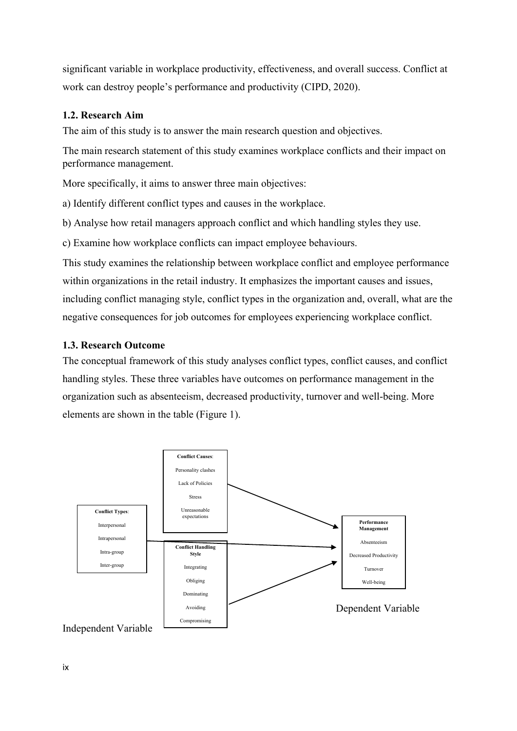significant variable in workplace productivity, effectiveness, and overall success. Conflict at work can destroy people's performance and productivity (CIPD, 2020).

## <span id="page-8-0"></span>**1.2. Research Aim**

The aim of this study is to answer the main research question and objectives.

The main research statement of this study examines workplace conflicts and their impact on performance management.

More specifically, it aims to answer three main objectives:

a) Identify different conflict types and causes in the workplace.

b) Analyse how retail managers approach conflict and which handling styles they use.

c) Examine how workplace conflicts can impact employee behaviours.

This study examines the relationship between workplace conflict and employee performance within organizations in the retail industry. It emphasizes the important causes and issues, including conflict managing style, conflict types in the organization and, overall, what are the negative consequences for job outcomes for employees experiencing workplace conflict.

## <span id="page-8-1"></span>**1.3. Research Outcome**

The conceptual framework of this study analyses conflict types, conflict causes, and conflict handling styles. These three variables have outcomes on performance management in the organization such as absenteeism, decreased productivity, turnover and well-being. More elements are shown in the table (Figure 1).

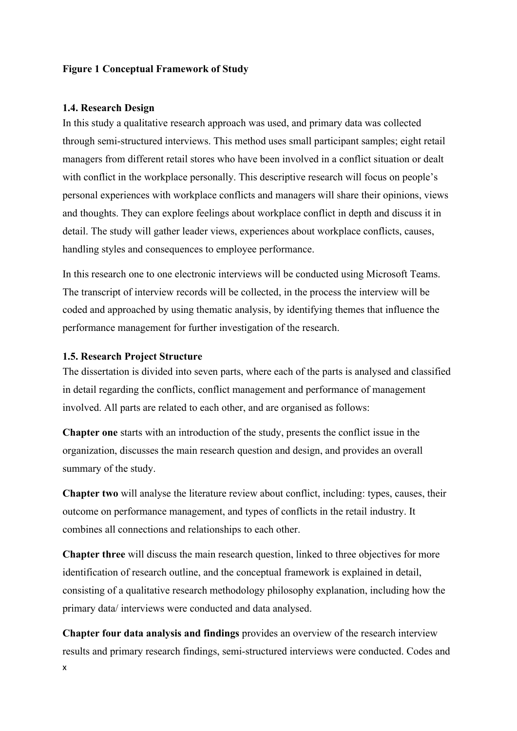#### **Figure 1 Conceptual Framework of Study**

#### <span id="page-9-0"></span>**1.4. Research Design**

In this study a qualitative research approach was used, and primary data was collected through semi-structured interviews. This method uses small participant samples; eight retail managers from different retail stores who have been involved in a conflict situation or dealt with conflict in the workplace personally. This descriptive research will focus on people's personal experiences with workplace conflicts and managers will share their opinions, views and thoughts. They can explore feelings about workplace conflict in depth and discuss it in detail. The study will gather leader views, experiences about workplace conflicts, causes, handling styles and consequences to employee performance.

In this research one to one electronic interviews will be conducted using Microsoft Teams. The transcript of interview records will be collected, in the process the interview will be coded and approached by using thematic analysis, by identifying themes that influence the performance management for further investigation of the research.

## <span id="page-9-1"></span>**1.5. Research Project Structure**

The dissertation is divided into seven parts, where each of the parts is analysed and classified in detail regarding the conflicts, conflict management and performance of management involved. All parts are related to each other, and are organised as follows:

**Chapter one** starts with an introduction of the study, presents the conflict issue in the organization, discusses the main research question and design, and provides an overall summary of the study.

**Chapter two** will analyse the literature review about conflict, including: types, causes, their outcome on performance management, and types of conflicts in the retail industry. It combines all connections and relationships to each other.

**Chapter three** will discuss the main research question, linked to three objectives for more identification of research outline, and the conceptual framework is explained in detail, consisting of a qualitative research methodology philosophy explanation, including how the primary data/ interviews were conducted and data analysed.

x **Chapter four data analysis and findings** provides an overview of the research interview results and primary research findings, semi-structured interviews were conducted. Codes and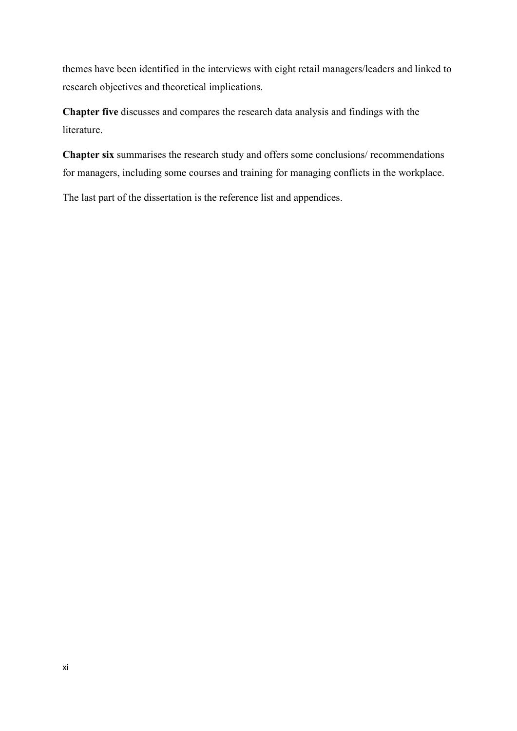themes have been identified in the interviews with eight retail managers/leaders and linked to research objectives and theoretical implications.

**Chapter five** discusses and compares the research data analysis and findings with the literature.

**Chapter six** summarises the research study and offers some conclusions/ recommendations for managers, including some courses and training for managing conflicts in the workplace.

The last part of the dissertation is the reference list and appendices.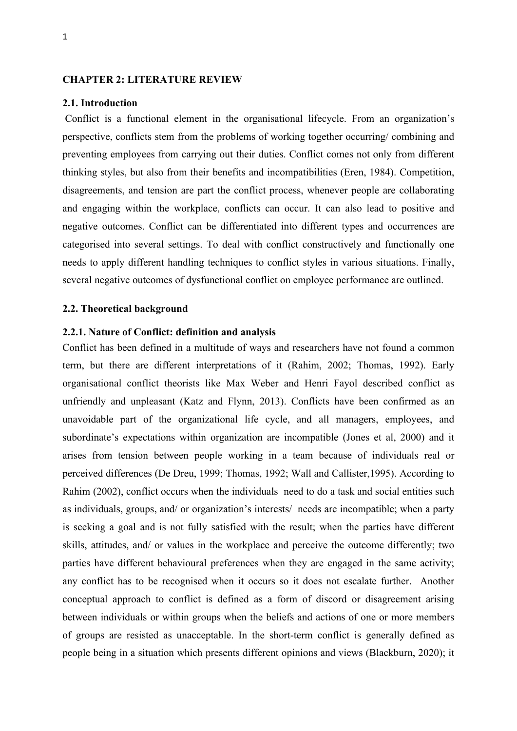#### <span id="page-11-0"></span>**CHAPTER 2: LITERATURE REVIEW**

#### <span id="page-11-1"></span>**2.1. Introduction**

Conflict is a functional element in the organisational lifecycle. From an organization's perspective, conflicts stem from the problems of working together occurring/ combining and preventing employees from carrying out their duties. Conflict comes not only from different thinking styles, but also from their benefits and incompatibilities (Eren, 1984). Competition, disagreements, and tension are part the conflict process, whenever people are collaborating and engaging within the workplace, conflicts can occur. It can also lead to positive and negative outcomes. Conflict can be differentiated into different types and occurrences are categorised into several settings. To deal with conflict constructively and functionally one needs to apply different handling techniques to conflict styles in various situations. Finally, several negative outcomes of dysfunctional conflict on employee performance are outlined.

#### <span id="page-11-2"></span>**2.2. Theoretical background**

#### <span id="page-11-3"></span>**2.2.1. Nature of Conflict: definition and analysis**

Conflict has been defined in a multitude of ways and researchers have not found a common term, but there are different interpretations of it (Rahim, 2002; Thomas, 1992). Early organisational conflict theorists like Max Weber and Henri Fayol described conflict as unfriendly and unpleasant (Katz and Flynn, 2013). Conflicts have been confirmed as an unavoidable part of the organizational life cycle, and all managers, employees, and subordinate's expectations within organization are incompatible (Jones et al, 2000) and it arises from tension between people working in a team because of individuals real or perceived differences (De Dreu, 1999; Thomas, 1992; Wall and Callister,1995). According to Rahim (2002), conflict occurs when the individuals need to do a task and social entities such as individuals, groups, and/ or organization's interests/ needs are incompatible; when a party is seeking a goal and is not fully satisfied with the result; when the parties have different skills, attitudes, and/ or values in the workplace and perceive the outcome differently; two parties have different behavioural preferences when they are engaged in the same activity; any conflict has to be recognised when it occurs so it does not escalate further. Another conceptual approach to conflict is defined as a form of discord or disagreement arising between individuals or within groups when the beliefs and actions of one or more members of groups are resisted as unacceptable. In the short-term conflict is generally defined as people being in a situation which presents different opinions and views (Blackburn, 2020); it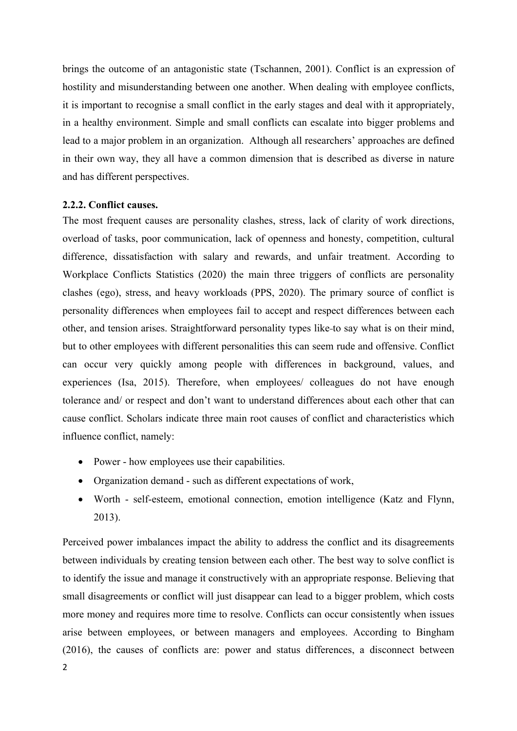brings the outcome of an antagonistic state (Tschannen, 2001). Conflict is an expression of hostility and misunderstanding between one another. When dealing with employee conflicts, it is important to recognise a small conflict in the early stages and deal with it appropriately, in a healthy environment. Simple and small conflicts can escalate into bigger problems and lead to a major problem in an organization. Although all researchers' approaches are defined in their own way, they all have a common dimension that is described as diverse in nature and has different perspectives.

#### <span id="page-12-0"></span>**2.2.2. Conflict causes.**

The most frequent causes are personality clashes, stress, lack of clarity of work directions, overload of tasks, poor communication, lack of openness and honesty, competition, cultural difference, dissatisfaction with salary and rewards, and unfair treatment. According to Workplace Conflicts Statistics (2020) the main three triggers of conflicts are personality clashes (ego), stress, and heavy workloads (PPS, 2020). The primary source of conflict is personality differences when employees fail to accept and respect differences between each other, and tension arises. Straightforward personality types like to say what is on their mind, but to other employees with different personalities this can seem rude and offensive. Conflict can occur very quickly among people with differences in background, values, and experiences (Isa, 2015). Therefore, when employees/ colleagues do not have enough tolerance and/ or respect and don't want to understand differences about each other that can cause conflict. Scholars indicate three main root causes of conflict and characteristics which influence conflict, namely:

- Power how employees use their capabilities.
- Organization demand such as different expectations of work,
- Worth self-esteem, emotional connection, emotion intelligence (Katz and Flynn, 2013).

2 Perceived power imbalances impact the ability to address the conflict and its disagreements between individuals by creating tension between each other. The best way to solve conflict is to identify the issue and manage it constructively with an appropriate response. Believing that small disagreements or conflict will just disappear can lead to a bigger problem, which costs more money and requires more time to resolve. Conflicts can occur consistently when issues arise between employees, or between managers and employees. According to Bingham (2016), the causes of conflicts are: power and status differences, a disconnect between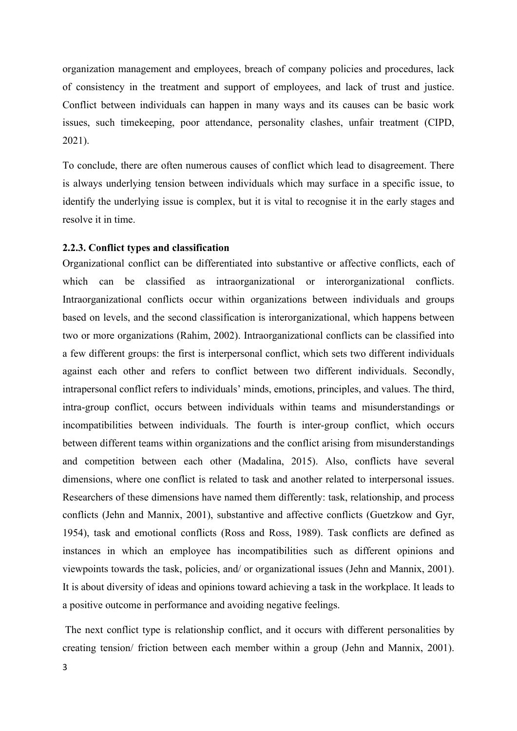organization management and employees, breach of company policies and procedures, lack of consistency in the treatment and support of employees, and lack of trust and justice. Conflict between individuals can happen in many ways and its causes can be basic work issues, such timekeeping, poor attendance, personality clashes, unfair treatment (CIPD, 2021).

To conclude, there are often numerous causes of conflict which lead to disagreement. There is always underlying tension between individuals which may surface in a specific issue, to identify the underlying issue is complex, but it is vital to recognise it in the early stages and resolve it in time.

#### <span id="page-13-0"></span>**2.2.3. Conflict types and classification**

Organizational conflict can be differentiated into substantive or affective conflicts, each of which can be classified as intraorganizational or interorganizational conflicts. Intraorganizational conflicts occur within organizations between individuals and groups based on levels, and the second classification is interorganizational, which happens between two or more organizations (Rahim, 2002). Intraorganizational conflicts can be classified into a few different groups: the first is interpersonal conflict, which sets two different individuals against each other and refers to conflict between two different individuals. Secondly, intrapersonal conflict refers to individuals' minds, emotions, principles, and values. The third, intra-group conflict, occurs between individuals within teams and misunderstandings or incompatibilities between individuals. The fourth is inter-group conflict, which occurs between different teams within organizations and the conflict arising from misunderstandings and competition between each other (Madalina, 2015). Also, conflicts have several dimensions, where one conflict is related to task and another related to interpersonal issues. Researchers of these dimensions have named them differently: task, relationship, and process conflicts (Jehn and Mannix, 2001), substantive and affective conflicts (Guetzkow and Gyr, 1954), task and emotional conflicts (Ross and Ross, 1989). Task conflicts are defined as instances in which an employee has incompatibilities such as different opinions and viewpoints towards the task, policies, and/ or organizational issues (Jehn and Mannix, 2001). It is about diversity of ideas and opinions toward achieving a task in the workplace. It leads to a positive outcome in performance and avoiding negative feelings.

The next conflict type is relationship conflict, and it occurs with different personalities by creating tension/ friction between each member within a group (Jehn and Mannix, 2001).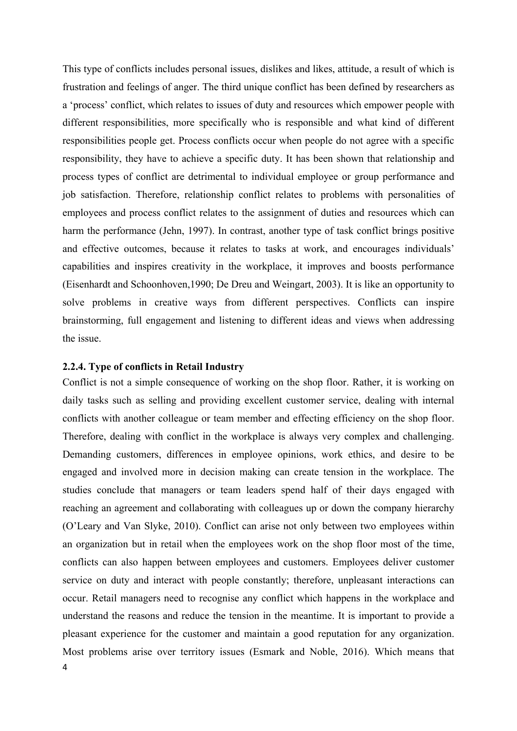This type of conflicts includes personal issues, dislikes and likes, attitude, a result of which is frustration and feelings of anger. The third unique conflict has been defined by researchers as a 'process' conflict, which relates to issues of duty and resources which empower people with different responsibilities, more specifically who is responsible and what kind of different responsibilities people get. Process conflicts occur when people do not agree with a specific responsibility, they have to achieve a specific duty. It has been shown that relationship and process types of conflict are detrimental to individual employee or group performance and job satisfaction. Therefore, relationship conflict relates to problems with personalities of employees and process conflict relates to the assignment of duties and resources which can harm the performance (Jehn, 1997). In contrast, another type of task conflict brings positive and effective outcomes, because it relates to tasks at work, and encourages individuals' capabilities and inspires creativity in the workplace, it improves and boosts performance (Eisenhardt and Schoonhoven,1990; De Dreu and Weingart, 2003). It is like an opportunity to solve problems in creative ways from different perspectives. Conflicts can inspire brainstorming, full engagement and listening to different ideas and views when addressing the issue.

## <span id="page-14-0"></span>**2.2.4. Type of conflicts in Retail Industry**

4 Conflict is not a simple consequence of working on the shop floor. Rather, it is working on daily tasks such as selling and providing excellent customer service, dealing with internal conflicts with another colleague or team member and effecting efficiency on the shop floor. Therefore, dealing with conflict in the workplace is always very complex and challenging. Demanding customers, differences in employee opinions, work ethics, and desire to be engaged and involved more in decision making can create tension in the workplace. The studies conclude that managers or team leaders spend half of their days engaged with reaching an agreement and collaborating with colleagues up or down the company hierarchy (O'Leary and Van Slyke, 2010). Conflict can arise not only between two employees within an organization but in retail when the employees work on the shop floor most of the time, conflicts can also happen between employees and customers. Employees deliver customer service on duty and interact with people constantly; therefore, unpleasant interactions can occur. Retail managers need to recognise any conflict which happens in the workplace and understand the reasons and reduce the tension in the meantime. It is important to provide a pleasant experience for the customer and maintain a good reputation for any organization. Most problems arise over territory issues (Esmark and Noble, 2016). Which means that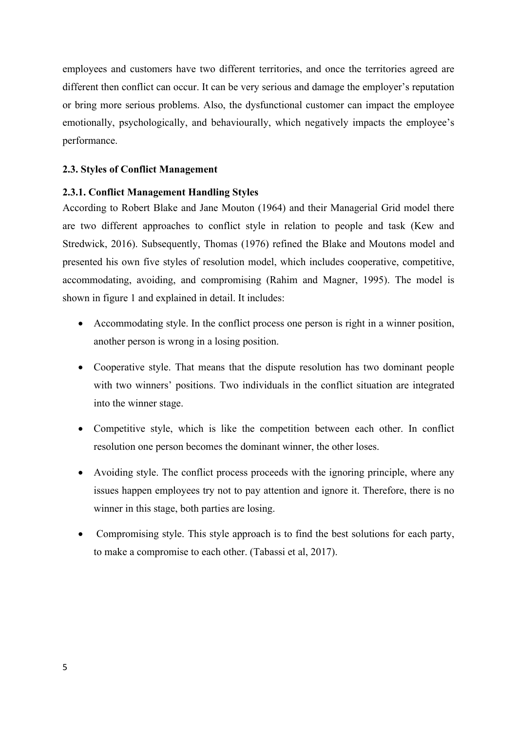employees and customers have two different territories, and once the territories agreed are different then conflict can occur. It can be very serious and damage the employer's reputation or bring more serious problems. Also, the dysfunctional customer can impact the employee emotionally, psychologically, and behaviourally, which negatively impacts the employee's performance.

## <span id="page-15-0"></span>**2.3. Styles of Conflict Management**

## <span id="page-15-1"></span>**2.3.1. Conflict Management Handling Styles**

According to Robert Blake and Jane Mouton (1964) and their Managerial Grid model there are two different approaches to conflict style in relation to people and task (Kew and Stredwick, 2016). Subsequently, Thomas (1976) refined the Blake and Moutons model and presented his own five styles of resolution model, which includes cooperative, competitive, accommodating, avoiding, and compromising (Rahim and Magner, 1995). The model is shown in figure 1 and explained in detail. It includes:

- Accommodating style. In the conflict process one person is right in a winner position, another person is wrong in a losing position.
- Cooperative style. That means that the dispute resolution has two dominant people with two winners' positions. Two individuals in the conflict situation are integrated into the winner stage.
- Competitive style, which is like the competition between each other. In conflict resolution one person becomes the dominant winner, the other loses.
- Avoiding style. The conflict process proceeds with the ignoring principle, where any issues happen employees try not to pay attention and ignore it. Therefore, there is no winner in this stage, both parties are losing.
- Compromising style. This style approach is to find the best solutions for each party, to make a compromise to each other. (Tabassi et al, 2017).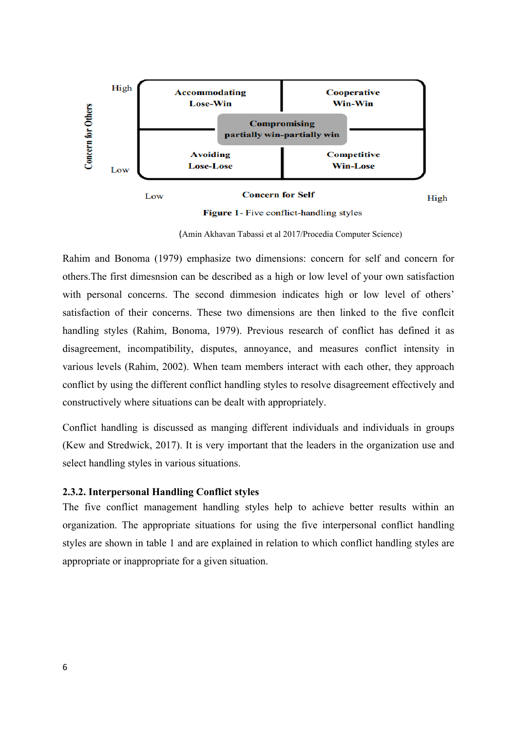

(Amin Akhavan Tabassi et al 2017/Procedia Computer Science)

Rahim and Bonoma (1979) emphasize two dimensions: concern for self and concern for others.The first dimesnsion can be described as a high or low level of your own satisfaction with personal concerns. The second dimmesion indicates high or low level of others' satisfaction of their concerns. These two dimensions are then linked to the five conflcit handling styles (Rahim, Bonoma, 1979). Previous research of conflict has defined it as disagreement, incompatibility, disputes, annoyance, and measures conflict intensity in various levels (Rahim, 2002). When team members interact with each other, they approach conflict by using the different conflict handling styles to resolve disagreement effectively and constructively where situations can be dealt with appropriately.

Conflict handling is discussed as manging different individuals and individuals in groups (Kew and Stredwick, 2017). It is very important that the leaders in the organization use and select handling styles in various situations.

#### <span id="page-16-0"></span>**2.3.2. Interpersonal Handling Conflict styles**

The five conflict management handling styles help to achieve better results within an organization. The appropriate situations for using the five interpersonal conflict handling styles are shown in table 1 and are explained in relation to which conflict handling styles are appropriate or inappropriate for a given situation.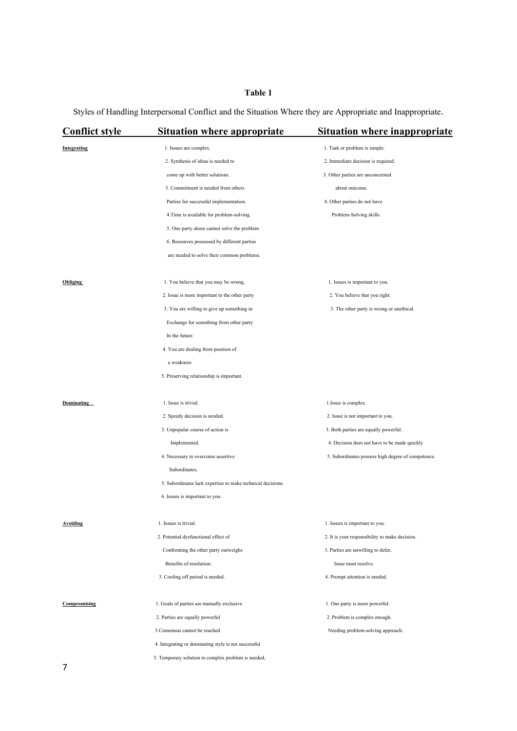# **Table 1**

Styles of Handling Interpersonal Conflict and the Situation Where they are Appropriate and Inappropriate.

| <b>Conflict style</b> | <b>Situation where appropriate</b>                          | <b>Situation where inappropriate</b>               |  |
|-----------------------|-------------------------------------------------------------|----------------------------------------------------|--|
| Integrating           | 1. Issues are complex.                                      | 1. Task or problem is simple.                      |  |
|                       | 2. Synthesis of ideas is needed to                          | 2. Immediate decision is required.                 |  |
|                       | come up with better solutions.                              | 3. Other parties are unconcerned                   |  |
|                       | 3. Commitment is needed from others                         | about outcome.                                     |  |
|                       | Parties for successful implementation.                      | 4. Other parties do not have                       |  |
|                       | 4. Time is available for problem-solving.                   | Problem-Solving skills.                            |  |
|                       | 5. One party alone cannot solve the problem                 |                                                    |  |
|                       | 6. Resources possessed by different parties                 |                                                    |  |
|                       | are needed to solve their common problems.                  |                                                    |  |
| <b>Obliging</b>       | 1. You believe that you may be wrong.                       | 1. Issues is important to you.                     |  |
|                       | 2. Issue is more important to the other party               | 2. You believe that you right.                     |  |
|                       | 3. You are willing to give up something in                  | 3. The other party is wrong or unethical.          |  |
|                       | Exchange for something from other party                     |                                                    |  |
|                       | In the future.                                              |                                                    |  |
|                       | 4. You are dealing from position of                         |                                                    |  |
|                       | a weakness                                                  |                                                    |  |
|                       | 5. Preserving relationship is important.                    |                                                    |  |
| Dominating            | 1. Issue is trivial.                                        | 1. Issue is complex.                               |  |
|                       | 2. Speedy decision is needed.                               | 2. Issue is not important to you.                  |  |
|                       | 3. Unpopular course of action is                            | 3. Both parties are equally powerful.              |  |
|                       | Implemented.                                                | 4. Decision does not have to be made quickly       |  |
|                       | 4. Necessary to overcome assertive                          | 5. Subordinates possess high degree of competence. |  |
|                       | Subordinates.                                               |                                                    |  |
|                       | 5. Subordinates lack expertise to make technical decisions. |                                                    |  |
|                       | 6. Issues is important to you.                              |                                                    |  |
| Avoiding              | 1. Issues is trivial.                                       | 1. Issues is important to you.                     |  |
|                       | 2. Potential dysfunctional effect of                        | 2. It is your responsibility to make decision.     |  |
|                       | Confronting the other party outweighs                       | 3. Parties are unwilling to defer,                 |  |
|                       | Benefits of resolution.                                     | Issue must resolve.                                |  |
|                       | 3. Cooling off period is needed.                            | 4. Prompt attention is needed.                     |  |
| Compromising          | 1. Goals of parties are mutually exclusive                  | 1. One party is more powerful.                     |  |
|                       | 2. Parties are equally powerful                             | 2. Problem is complex enough.                      |  |
|                       | 3. Consensus cannot be reached                              | Needing problem-solving approach.                  |  |
|                       | 4. Integrating or dominating style is not successful        |                                                    |  |
|                       | 5. Temporary solution to complex problem is needed,         |                                                    |  |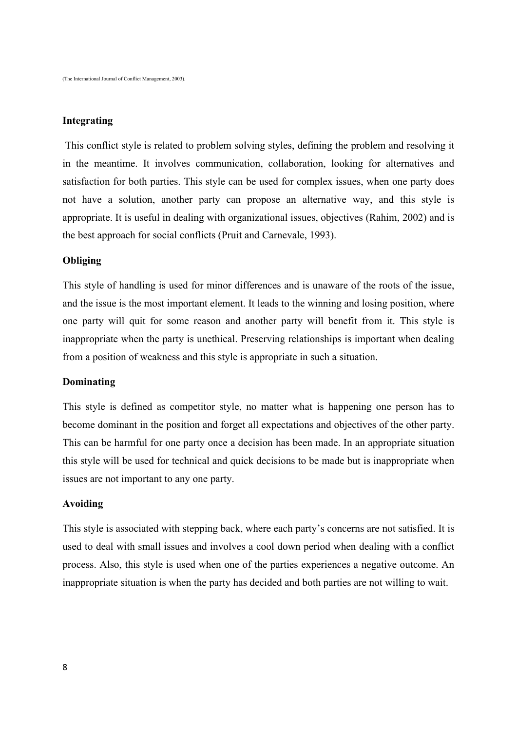## **Integrating**

This conflict style is related to problem solving styles, defining the problem and resolving it in the meantime. It involves communication, collaboration, looking for alternatives and satisfaction for both parties. This style can be used for complex issues, when one party does not have a solution, another party can propose an alternative way, and this style is appropriate. It is useful in dealing with organizational issues, objectives (Rahim, 2002) and is the best approach for social conflicts (Pruit and Carnevale, 1993).

#### **Obliging**

This style of handling is used for minor differences and is unaware of the roots of the issue, and the issue is the most important element. It leads to the winning and losing position, where one party will quit for some reason and another party will benefit from it. This style is inappropriate when the party is unethical. Preserving relationships is important when dealing from a position of weakness and this style is appropriate in such a situation.

#### **Dominating**

This style is defined as competitor style, no matter what is happening one person has to become dominant in the position and forget all expectations and objectives of the other party. This can be harmful for one party once a decision has been made. In an appropriate situation this style will be used for technical and quick decisions to be made but is inappropriate when issues are not important to any one party.

#### **Avoiding**

This style is associated with stepping back, where each party's concerns are not satisfied. It is used to deal with small issues and involves a cool down period when dealing with a conflict process. Also, this style is used when one of the parties experiences a negative outcome. An inappropriate situation is when the party has decided and both parties are not willing to wait.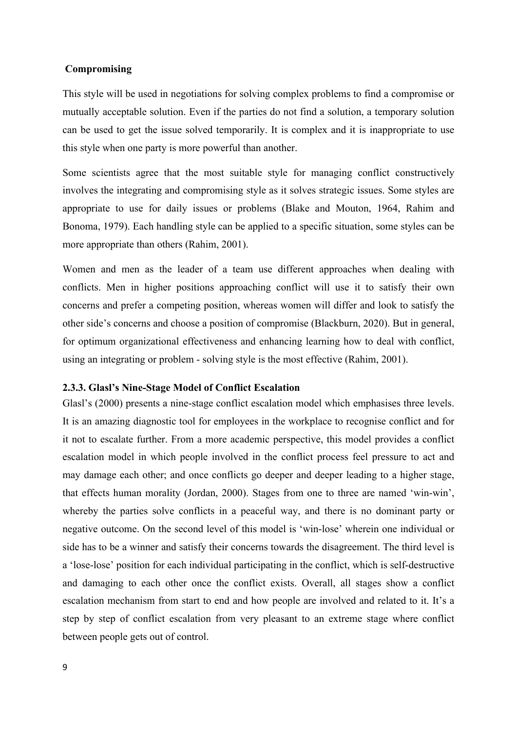#### **Compromising**

This style will be used in negotiations for solving complex problems to find a compromise or mutually acceptable solution. Even if the parties do not find a solution, a temporary solution can be used to get the issue solved temporarily. It is complex and it is inappropriate to use this style when one party is more powerful than another.

Some scientists agree that the most suitable style for managing conflict constructively involves the integrating and compromising style as it solves strategic issues. Some styles are appropriate to use for daily issues or problems (Blake and Mouton, 1964, Rahim and Bonoma, 1979). Each handling style can be applied to a specific situation, some styles can be more appropriate than others (Rahim, 2001).

Women and men as the leader of a team use different approaches when dealing with conflicts. Men in higher positions approaching conflict will use it to satisfy their own concerns and prefer a competing position, whereas women will differ and look to satisfy the other side's concerns and choose a position of compromise (Blackburn, 2020). But in general, for optimum organizational effectiveness and enhancing learning how to deal with conflict, using an integrating or problem - solving style is the most effective (Rahim, 2001).

#### <span id="page-19-0"></span>**2.3.3. Glasl's Nine-Stage Model of Conflict Escalation**

Glasl's (2000) presents a nine-stage conflict escalation model which emphasises three levels. It is an amazing diagnostic tool for employees in the workplace to recognise conflict and for it not to escalate further. From a more academic perspective, this model provides a conflict escalation model in which people involved in the conflict process feel pressure to act and may damage each other; and once conflicts go deeper and deeper leading to a higher stage, that effects human morality (Jordan, 2000). Stages from one to three are named 'win-win', whereby the parties solve conflicts in a peaceful way, and there is no dominant party or negative outcome. On the second level of this model is 'win-lose' wherein one individual or side has to be a winner and satisfy their concerns towards the disagreement. The third level is a 'lose-lose' position for each individual participating in the conflict, which is self-destructive and damaging to each other once the conflict exists. Overall, all stages show a conflict escalation mechanism from start to end and how people are involved and related to it. It's a step by step of conflict escalation from very pleasant to an extreme stage where conflict between people gets out of control.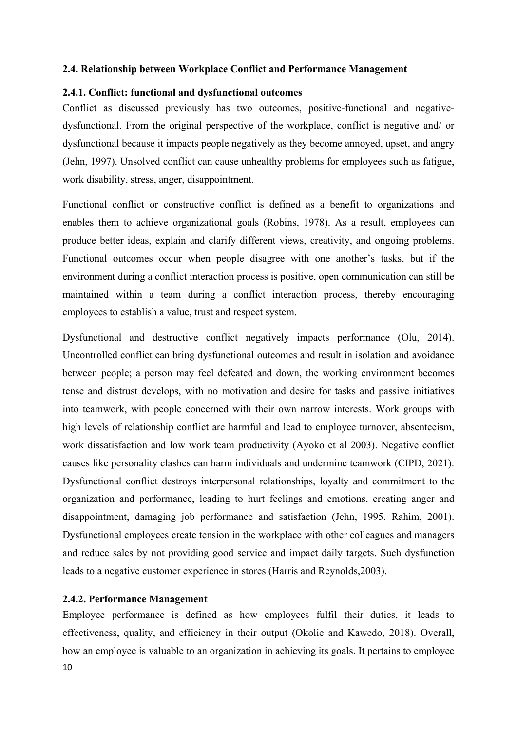#### <span id="page-20-0"></span>**2.4. Relationship between Workplace Conflict and Performance Management**

## <span id="page-20-1"></span>**2.4.1. Conflict: functional and dysfunctional outcomes**

Conflict as discussed previously has two outcomes, positive-functional and negativedysfunctional. From the original perspective of the workplace, conflict is negative and/ or dysfunctional because it impacts people negatively as they become annoyed, upset, and angry (Jehn, 1997). Unsolved conflict can cause unhealthy problems for employees such as fatigue, work disability, stress, anger, disappointment.

Functional conflict or constructive conflict is defined as a benefit to organizations and enables them to achieve organizational goals (Robins, 1978). As a result, employees can produce better ideas, explain and clarify different views, creativity, and ongoing problems. Functional outcomes occur when people disagree with one another's tasks, but if the environment during a conflict interaction process is positive, open communication can still be maintained within a team during a conflict interaction process, thereby encouraging employees to establish a value, trust and respect system.

Dysfunctional and destructive conflict negatively impacts performance (Olu, 2014). Uncontrolled conflict can bring dysfunctional outcomes and result in isolation and avoidance between people; a person may feel defeated and down, the working environment becomes tense and distrust develops, with no motivation and desire for tasks and passive initiatives into teamwork, with people concerned with their own narrow interests. Work groups with high levels of relationship conflict are harmful and lead to employee turnover, absenteeism, work dissatisfaction and low work team productivity (Ayoko et al 2003). Negative conflict causes like personality clashes can harm individuals and undermine teamwork (CIPD, 2021). Dysfunctional conflict destroys interpersonal relationships, loyalty and commitment to the organization and performance, leading to hurt feelings and emotions, creating anger and disappointment, damaging job performance and satisfaction (Jehn, 1995. Rahim, 2001). Dysfunctional employees create tension in the workplace with other colleagues and managers and reduce sales by not providing good service and impact daily targets. Such dysfunction leads to a negative customer experience in stores (Harris and Reynolds,2003).

## <span id="page-20-2"></span>**2.4.2. Performance Management**

10 Employee performance is defined as how employees fulfil their duties, it leads to effectiveness, quality, and efficiency in their output (Okolie and Kawedo, 2018). Overall, how an employee is valuable to an organization in achieving its goals. It pertains to employee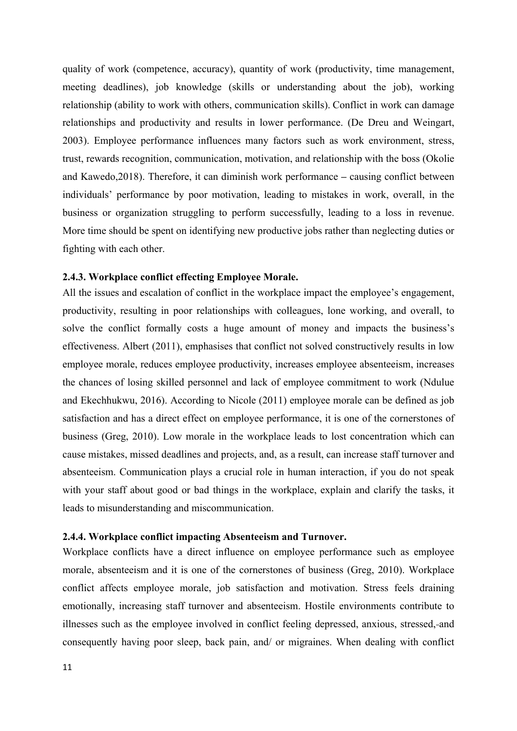quality of work (competence, accuracy), quantity of work (productivity, time management, meeting deadlines), job knowledge (skills or understanding about the job), working relationship (ability to work with others, communication skills). Conflict in work can damage relationships and productivity and results in lower performance. (De Dreu and Weingart, 2003). Employee performance influences many factors such as work environment, stress, trust, rewards recognition, communication, motivation, and relationship with the boss (Okolie and Kawedo,2018). Therefore, it can diminish work performance **–** causing conflict between individuals' performance by poor motivation, leading to mistakes in work, overall, in the business or organization struggling to perform successfully, leading to a loss in revenue. More time should be spent on identifying new productive jobs rather than neglecting duties or fighting with each other.

#### <span id="page-21-0"></span>**2.4.3. Workplace conflict effecting Employee Morale.**

All the issues and escalation of conflict in the workplace impact the employee's engagement, productivity, resulting in poor relationships with colleagues, lone working, and overall, to solve the conflict formally costs a huge amount of money and impacts the business's effectiveness. Albert (2011), emphasises that conflict not solved constructively results in low employee morale, reduces employee productivity, increases employee absenteeism, increases the chances of losing skilled personnel and lack of employee commitment to work (Ndulue and Ekechhukwu, 2016). According to Nicole (2011) employee morale can be defined as job satisfaction and has a direct effect on employee performance, it is one of the cornerstones of business (Greg, 2010). Low morale in the workplace leads to lost concentration which can cause mistakes, missed deadlines and projects, and, as a result, can increase staff turnover and absenteeism. Communication plays a crucial role in human interaction, if you do not speak with your staff about good or bad things in the workplace, explain and clarify the tasks, it leads to misunderstanding and miscommunication.

#### <span id="page-21-1"></span>**2.4.4. Workplace conflict impacting Absenteeism and Turnover.**

Workplace conflicts have a direct influence on employee performance such as employee morale, absenteeism and it is one of the cornerstones of business (Greg, 2010). Workplace conflict affects employee morale, job satisfaction and motivation. Stress feels draining emotionally, increasing staff turnover and absenteeism. Hostile environments contribute to illnesses such as the employee involved in conflict feeling depressed, anxious, stressed, and consequently having poor sleep, back pain, and/ or migraines. When dealing with conflict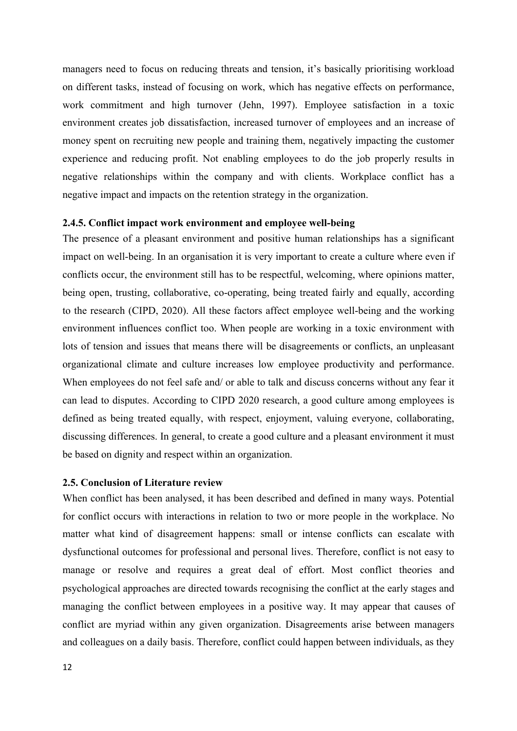managers need to focus on reducing threats and tension, it's basically prioritising workload on different tasks, instead of focusing on work, which has negative effects on performance, work commitment and high turnover (Jehn, 1997). Employee satisfaction in a toxic environment creates job dissatisfaction, increased turnover of employees and an increase of money spent on recruiting new people and training them, negatively impacting the customer experience and reducing profit. Not enabling employees to do the job properly results in negative relationships within the company and with clients. Workplace conflict has a negative impact and impacts on the retention strategy in the organization.

## <span id="page-22-0"></span>**2.4.5. Conflict impact work environment and employee well-being**

The presence of a pleasant environment and positive human relationships has a significant impact on well-being. In an organisation it is very important to create a culture where even if conflicts occur, the environment still has to be respectful, welcoming, where opinions matter, being open, trusting, collaborative, co-operating, being treated fairly and equally, according to the research (CIPD, 2020). All these factors affect employee well-being and the working environment influences conflict too. When people are working in a toxic environment with lots of tension and issues that means there will be disagreements or conflicts, an unpleasant organizational climate and culture increases low employee productivity and performance. When employees do not feel safe and/ or able to talk and discuss concerns without any fear it can lead to disputes. According to CIPD 2020 research, a good culture among employees is defined as being treated equally, with respect, enjoyment, valuing everyone, collaborating, discussing differences. In general, to create a good culture and a pleasant environment it must be based on dignity and respect within an organization.

#### <span id="page-22-1"></span>**2.5. Conclusion of Literature review**

When conflict has been analysed, it has been described and defined in many ways. Potential for conflict occurs with interactions in relation to two or more people in the workplace. No matter what kind of disagreement happens: small or intense conflicts can escalate with dysfunctional outcomes for professional and personal lives. Therefore, conflict is not easy to manage or resolve and requires a great deal of effort. Most conflict theories and psychological approaches are directed towards recognising the conflict at the early stages and managing the conflict between employees in a positive way. It may appear that causes of conflict are myriad within any given organization. Disagreements arise between managers and colleagues on a daily basis. Therefore, conflict could happen between individuals, as they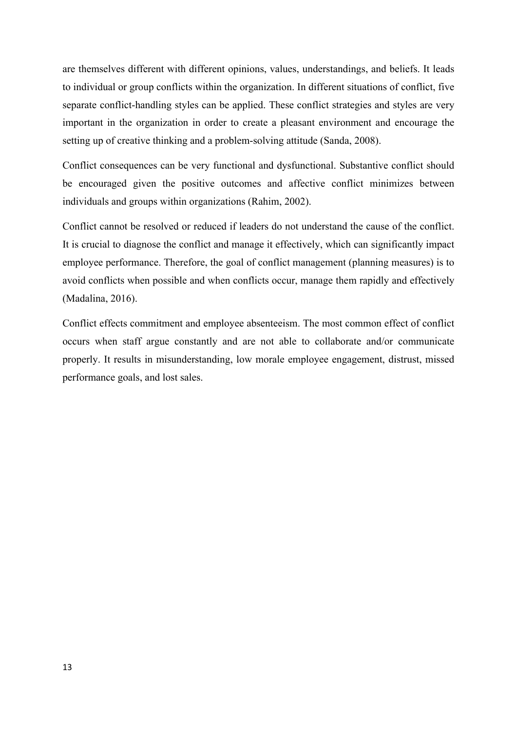are themselves different with different opinions, values, understandings, and beliefs. It leads to individual or group conflicts within the organization. In different situations of conflict, five separate conflict-handling styles can be applied. These conflict strategies and styles are very important in the organization in order to create a pleasant environment and encourage the setting up of creative thinking and a problem-solving attitude (Sanda, 2008).

Conflict consequences can be very functional and dysfunctional. Substantive conflict should be encouraged given the positive outcomes and affective conflict minimizes between individuals and groups within organizations (Rahim, 2002).

Conflict cannot be resolved or reduced if leaders do not understand the cause of the conflict. It is crucial to diagnose the conflict and manage it effectively, which can significantly impact employee performance. Therefore, the goal of conflict management (planning measures) is to avoid conflicts when possible and when conflicts occur, manage them rapidly and effectively (Madalina, 2016).

Conflict effects commitment and employee absenteeism. The most common effect of conflict occurs when staff argue constantly and are not able to collaborate and/or communicate properly. It results in misunderstanding, low morale employee engagement, distrust, missed performance goals, and lost sales.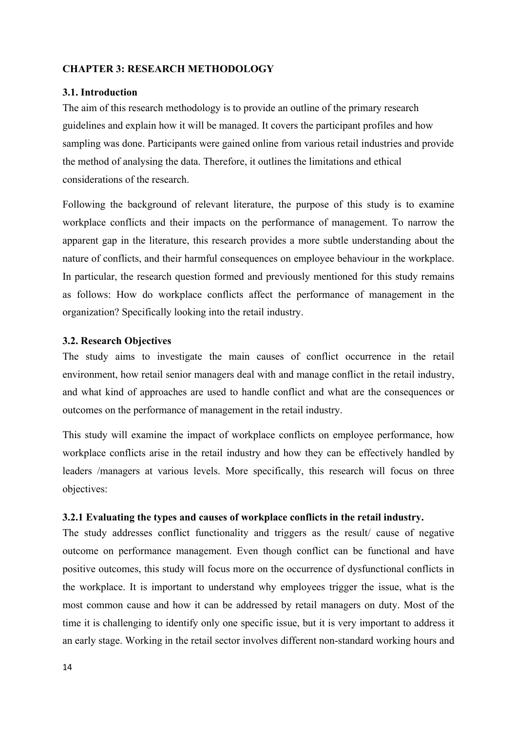## <span id="page-24-0"></span>**CHAPTER 3: RESEARCH METHODOLOGY**

## <span id="page-24-1"></span>**3.1. Introduction**

The aim of this research methodology is to provide an outline of the primary research guidelines and explain how it will be managed. It covers the participant profiles and how sampling was done. Participants were gained online from various retail industries and provide the method of analysing the data. Therefore, it outlines the limitations and ethical considerations of the research.

Following the background of relevant literature, the purpose of this study is to examine workplace conflicts and their impacts on the performance of management. To narrow the apparent gap in the literature, this research provides a more subtle understanding about the nature of conflicts, and their harmful consequences on employee behaviour in the workplace. In particular, the research question formed and previously mentioned for this study remains as follows: How do workplace conflicts affect the performance of management in the organization? Specifically looking into the retail industry.

#### <span id="page-24-2"></span>**3.2. Research Objectives**

The study aims to investigate the main causes of conflict occurrence in the retail environment, how retail senior managers deal with and manage conflict in the retail industry, and what kind of approaches are used to handle conflict and what are the consequences or outcomes on the performance of management in the retail industry.

This study will examine the impact of workplace conflicts on employee performance, how workplace conflicts arise in the retail industry and how they can be effectively handled by leaders /managers at various levels. More specifically, this research will focus on three objectives:

## <span id="page-24-3"></span>**3.2.1 Evaluating the types and causes of workplace conflicts in the retail industry.**

The study addresses conflict functionality and triggers as the result/ cause of negative outcome on performance management. Even though conflict can be functional and have positive outcomes, this study will focus more on the occurrence of dysfunctional conflicts in the workplace. It is important to understand why employees trigger the issue, what is the most common cause and how it can be addressed by retail managers on duty. Most of the time it is challenging to identify only one specific issue, but it is very important to address it an early stage. Working in the retail sector involves different non-standard working hours and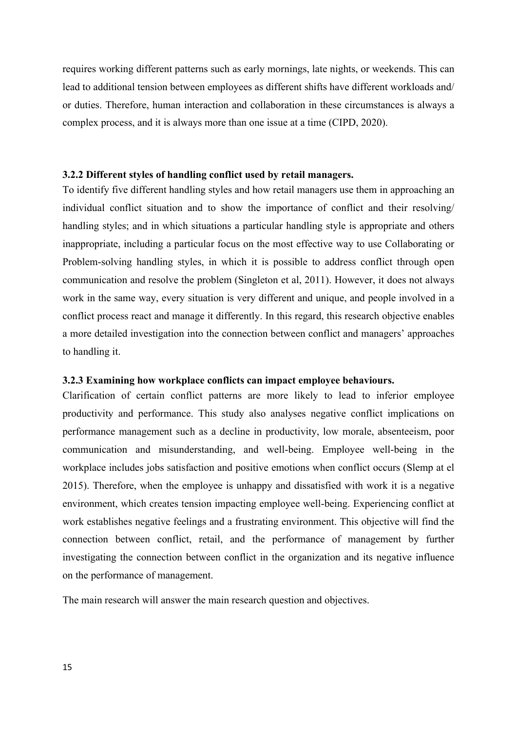requires working different patterns such as early mornings, late nights, or weekends. This can lead to additional tension between employees as different shifts have different workloads and/ or duties. Therefore, human interaction and collaboration in these circumstances is always a complex process, and it is always more than one issue at a time (CIPD, 2020).

#### <span id="page-25-0"></span>**3.2.2 Different styles of handling conflict used by retail managers.**

To identify five different handling styles and how retail managers use them in approaching an individual conflict situation and to show the importance of conflict and their resolving/ handling styles; and in which situations a particular handling style is appropriate and others inappropriate, including a particular focus on the most effective way to use Collaborating or Problem-solving handling styles, in which it is possible to address conflict through open communication and resolve the problem (Singleton et al, 2011). However, it does not always work in the same way, every situation is very different and unique, and people involved in a conflict process react and manage it differently. In this regard, this research objective enables a more detailed investigation into the connection between conflict and managers' approaches to handling it.

#### <span id="page-25-1"></span>**3.2.3 Examining how workplace conflicts can impact employee behaviours.**

Clarification of certain conflict patterns are more likely to lead to inferior employee productivity and performance. This study also analyses negative conflict implications on performance management such as a decline in productivity, low morale, absenteeism, poor communication and misunderstanding, and well-being. Employee well-being in the workplace includes jobs satisfaction and positive emotions when conflict occurs (Slemp at el 2015). Therefore, when the employee is unhappy and dissatisfied with work it is a negative environment, which creates tension impacting employee well-being. Experiencing conflict at work establishes negative feelings and a frustrating environment. This objective will find the connection between conflict, retail, and the performance of management by further investigating the connection between conflict in the organization and its negative influence on the performance of management.

The main research will answer the main research question and objectives.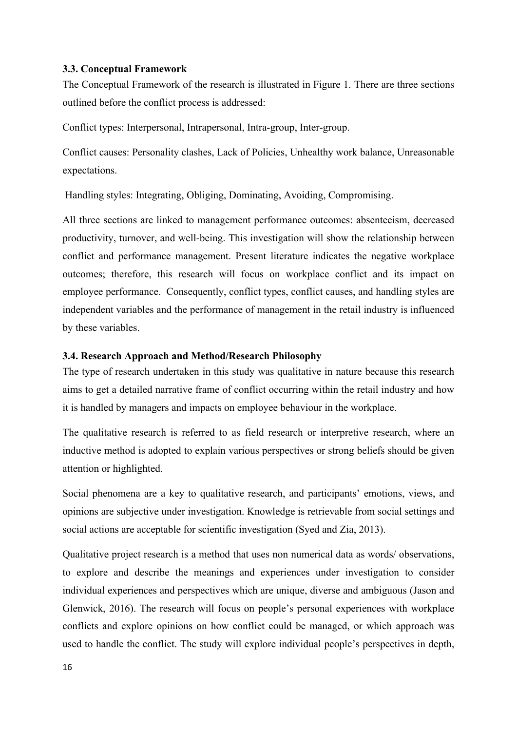#### <span id="page-26-0"></span>**3.3. Conceptual Framework**

The Conceptual Framework of the research is illustrated in Figure 1. There are three sections outlined before the conflict process is addressed:

Conflict types: Interpersonal, Intrapersonal, Intra-group, Inter-group.

Conflict causes: Personality clashes, Lack of Policies, Unhealthy work balance, Unreasonable expectations.

Handling styles: Integrating, Obliging, Dominating, Avoiding, Compromising.

All three sections are linked to management performance outcomes: absenteeism, decreased productivity, turnover, and well-being. This investigation will show the relationship between conflict and performance management. Present literature indicates the negative workplace outcomes; therefore, this research will focus on workplace conflict and its impact on employee performance. Consequently, conflict types, conflict causes, and handling styles are independent variables and the performance of management in the retail industry is influenced by these variables.

## <span id="page-26-1"></span>**3.4. Research Approach and Method/Research Philosophy**

The type of research undertaken in this study was qualitative in nature because this research aims to get a detailed narrative frame of conflict occurring within the retail industry and how it is handled by managers and impacts on employee behaviour in the workplace.

The qualitative research is referred to as field research or interpretive research, where an inductive method is adopted to explain various perspectives or strong beliefs should be given attention or highlighted.

Social phenomena are a key to qualitative research, and participants' emotions, views, and opinions are subjective under investigation. Knowledge is retrievable from social settings and social actions are acceptable for scientific investigation (Syed and Zia, 2013).

Qualitative project research is a method that uses non numerical data as words/ observations, to explore and describe the meanings and experiences under investigation to consider individual experiences and perspectives which are unique, diverse and ambiguous (Jason and Glenwick, 2016). The research will focus on people's personal experiences with workplace conflicts and explore opinions on how conflict could be managed, or which approach was used to handle the conflict. The study will explore individual people's perspectives in depth,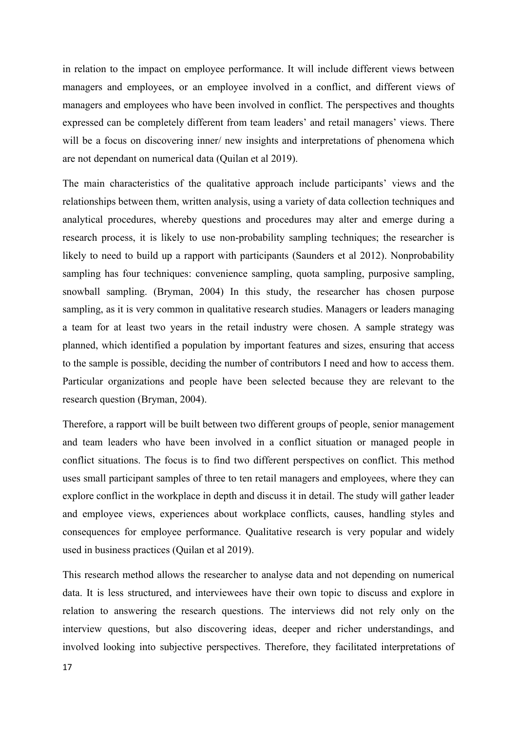in relation to the impact on employee performance. It will include different views between managers and employees, or an employee involved in a conflict, and different views of managers and employees who have been involved in conflict. The perspectives and thoughts expressed can be completely different from team leaders' and retail managers' views. There will be a focus on discovering inner/ new insights and interpretations of phenomena which are not dependant on numerical data (Quilan et al 2019).

The main characteristics of the qualitative approach include participants' views and the relationships between them, written analysis, using a variety of data collection techniques and analytical procedures, whereby questions and procedures may alter and emerge during a research process, it is likely to use non-probability sampling techniques; the researcher is likely to need to build up a rapport with participants (Saunders et al 2012). Nonprobability sampling has four techniques: convenience sampling, quota sampling, purposive sampling, snowball sampling. (Bryman, 2004) In this study, the researcher has chosen purpose sampling, as it is very common in qualitative research studies. Managers or leaders managing a team for at least two years in the retail industry were chosen. A sample strategy was planned, which identified a population by important features and sizes, ensuring that access to the sample is possible, deciding the number of contributors I need and how to access them. Particular organizations and people have been selected because they are relevant to the research question (Bryman, 2004).

Therefore, a rapport will be built between two different groups of people, senior management and team leaders who have been involved in a conflict situation or managed people in conflict situations. The focus is to find two different perspectives on conflict. This method uses small participant samples of three to ten retail managers and employees, where they can explore conflict in the workplace in depth and discuss it in detail. The study will gather leader and employee views, experiences about workplace conflicts, causes, handling styles and consequences for employee performance. Qualitative research is very popular and widely used in business practices (Quilan et al 2019).

This research method allows the researcher to analyse data and not depending on numerical data. It is less structured, and interviewees have their own topic to discuss and explore in relation to answering the research questions. The interviews did not rely only on the interview questions, but also discovering ideas, deeper and richer understandings, and involved looking into subjective perspectives. Therefore, they facilitated interpretations of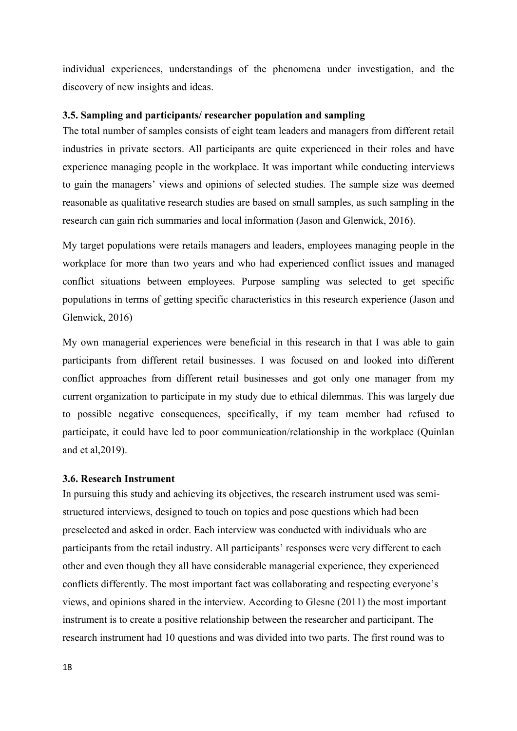individual experiences, understandings of the phenomena under investigation, and the discovery of new insights and ideas.

#### <span id="page-28-0"></span>**3.5. Sampling and participants/ researcher population and sampling**

The total number of samples consists of eight team leaders and managers from different retail industries in private sectors. All participants are quite experienced in their roles and have experience managing people in the workplace. It was important while conducting interviews to gain the managers' views and opinions of selected studies. The sample size was deemed reasonable as qualitative research studies are based on small samples, as such sampling in the research can gain rich summaries and local information (Jason and Glenwick, 2016).

My target populations were retails managers and leaders, employees managing people in the workplace for more than two years and who had experienced conflict issues and managed conflict situations between employees. Purpose sampling was selected to get specific populations in terms of getting specific characteristics in this research experience (Jason and Glenwick, 2016)

My own managerial experiences were beneficial in this research in that I was able to gain participants from different retail businesses. I was focused on and looked into different conflict approaches from different retail businesses and got only one manager from my current organization to participate in my study due to ethical dilemmas. This was largely due to possible negative consequences, specifically, if my team member had refused to participate, it could have led to poor communication/relationship in the workplace (Quinlan and et al,2019).

#### <span id="page-28-1"></span>**3.6. Research Instrument**

In pursuing this study and achieving its objectives, the research instrument used was semistructured interviews, designed to touch on topics and pose questions which had been preselected and asked in order. Each interview was conducted with individuals who are participants from the retail industry. All participants' responses were very different to each other and even though they all have considerable managerial experience, they experienced conflicts differently. The most important fact was collaborating and respecting everyone's views, and opinions shared in the interview. According to Glesne (2011) the most important instrument is to create a positive relationship between the researcher and participant. The research instrument had 10 questions and was divided into two parts. The first round was to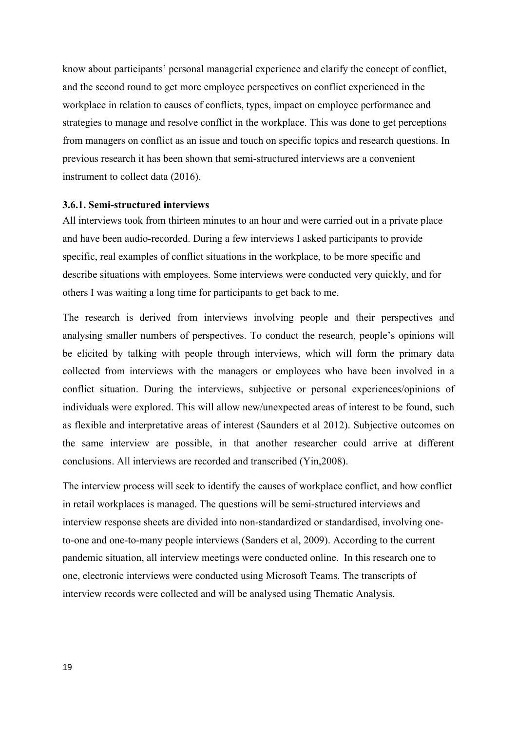know about participants' personal managerial experience and clarify the concept of conflict, and the second round to get more employee perspectives on conflict experienced in the workplace in relation to causes of conflicts, types, impact on employee performance and strategies to manage and resolve conflict in the workplace. This was done to get perceptions from managers on conflict as an issue and touch on specific topics and research questions. In previous research it has been shown that semi-structured interviews are a convenient instrument to collect data (2016).

#### <span id="page-29-0"></span>**3.6.1. Semi-structured interviews**

All interviews took from thirteen minutes to an hour and were carried out in a private place and have been audio-recorded. During a few interviews I asked participants to provide specific, real examples of conflict situations in the workplace, to be more specific and describe situations with employees. Some interviews were conducted very quickly, and for others I was waiting a long time for participants to get back to me.

The research is derived from interviews involving people and their perspectives and analysing smaller numbers of perspectives. To conduct the research, people's opinions will be elicited by talking with people through interviews, which will form the primary data collected from interviews with the managers or employees who have been involved in a conflict situation. During the interviews, subjective or personal experiences/opinions of individuals were explored. This will allow new/unexpected areas of interest to be found, such as flexible and interpretative areas of interest (Saunders et al 2012). Subjective outcomes on the same interview are possible, in that another researcher could arrive at different conclusions. All interviews are recorded and transcribed (Yin,2008).

The interview process will seek to identify the causes of workplace conflict, and how conflict in retail workplaces is managed. The questions will be semi-structured interviews and interview response sheets are divided into non-standardized or standardised, involving oneto-one and one-to-many people interviews (Sanders et al, 2009). According to the current pandemic situation, all interview meetings were conducted online. In this research one to one, electronic interviews were conducted using Microsoft Teams. The transcripts of interview records were collected and will be analysed using Thematic Analysis.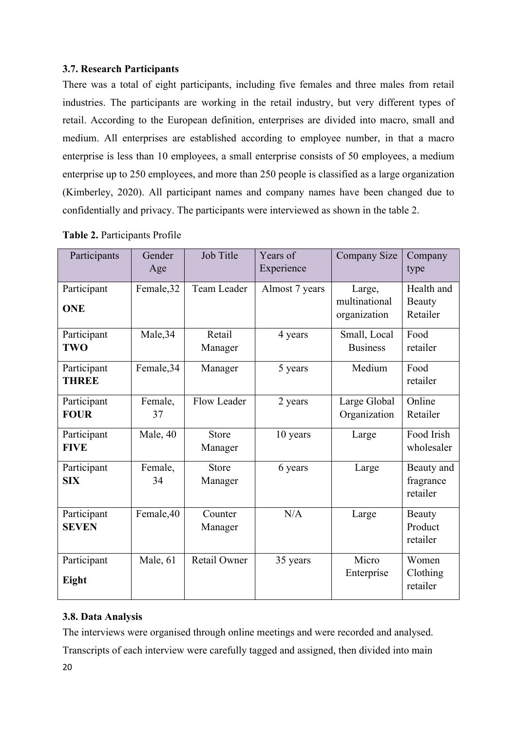# <span id="page-30-0"></span>**3.7. Research Participants**

There was a total of eight participants, including five females and three males from retail industries. The participants are working in the retail industry, but very different types of retail. According to the European definition, enterprises are divided into macro, small and medium. All enterprises are established according to employee number, in that a macro enterprise is less than 10 employees, a small enterprise consists of 50 employees, a medium enterprise up to 250 employees, and more than 250 people is classified as a large organization (Kimberley, 2020). All participant names and company names have been changed due to confidentially and privacy. The participants were interviewed as shown in the table 2.

| Participants                | Gender<br>Age | Job Title           | Years of<br>Experience | Company Size                            | Company<br>type                     |
|-----------------------------|---------------|---------------------|------------------------|-----------------------------------------|-------------------------------------|
| Participant<br><b>ONE</b>   | Female, 32    | Team Leader         | Almost 7 years         | Large,<br>multinational<br>organization | Health and<br>Beauty<br>Retailer    |
| Participant<br><b>TWO</b>   | Male, 34      | Retail<br>Manager   | 4 years                | Small, Local<br><b>Business</b>         | Food<br>retailer                    |
| Participant<br><b>THREE</b> | Female, 34    | Manager             | 5 years                | Medium                                  | Food<br>retailer                    |
| Participant<br><b>FOUR</b>  | Female,<br>37 | Flow Leader         | 2 years                | Large Global<br>Organization            | Online<br>Retailer                  |
| Participant<br><b>FIVE</b>  | Male, 40      | Store<br>Manager    | 10 years               | Large                                   | Food Irish<br>wholesaler            |
| Participant<br><b>SIX</b>   | Female,<br>34 | Store<br>Manager    | 6 years                | Large                                   | Beauty and<br>fragrance<br>retailer |
| Participant<br><b>SEVEN</b> | Female, 40    | Counter<br>Manager  | N/A                    | Large                                   | Beauty<br>Product<br>retailer       |
| Participant<br>Eight        | Male, 61      | <b>Retail Owner</b> | 35 years               | Micro<br>Enterprise                     | Women<br>Clothing<br>retailer       |

## **Table 2.** Participants Profile

# <span id="page-30-1"></span>**3.8. Data Analysis**

The interviews were organised through online meetings and were recorded and analysed.

Transcripts of each interview were carefully tagged and assigned, then divided into main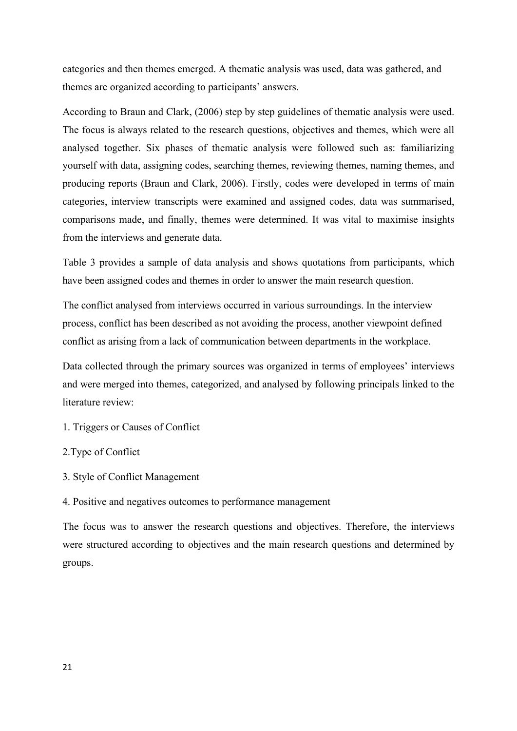categories and then themes emerged. A thematic analysis was used, data was gathered, and themes are organized according to participants' answers.

According to Braun and Clark, (2006) step by step guidelines of thematic analysis were used. The focus is always related to the research questions, objectives and themes, which were all analysed together. Six phases of thematic analysis were followed such as: familiarizing yourself with data, assigning codes, searching themes, reviewing themes, naming themes, and producing reports (Braun and Clark, 2006). Firstly, codes were developed in terms of main categories, interview transcripts were examined and assigned codes, data was summarised, comparisons made, and finally, themes were determined. It was vital to maximise insights from the interviews and generate data.

Table 3 provides a sample of data analysis and shows quotations from participants, which have been assigned codes and themes in order to answer the main research question.

The conflict analysed from interviews occurred in various surroundings. In the interview process, conflict has been described as not avoiding the process, another viewpoint defined conflict as arising from a lack of communication between departments in the workplace.

Data collected through the primary sources was organized in terms of employees' interviews and were merged into themes, categorized, and analysed by following principals linked to the literature review:

- 1. Triggers or Causes of Conflict
- 2.Type of Conflict
- 3. Style of Conflict Management
- 4. Positive and negatives outcomes to performance management

The focus was to answer the research questions and objectives. Therefore, the interviews were structured according to objectives and the main research questions and determined by groups.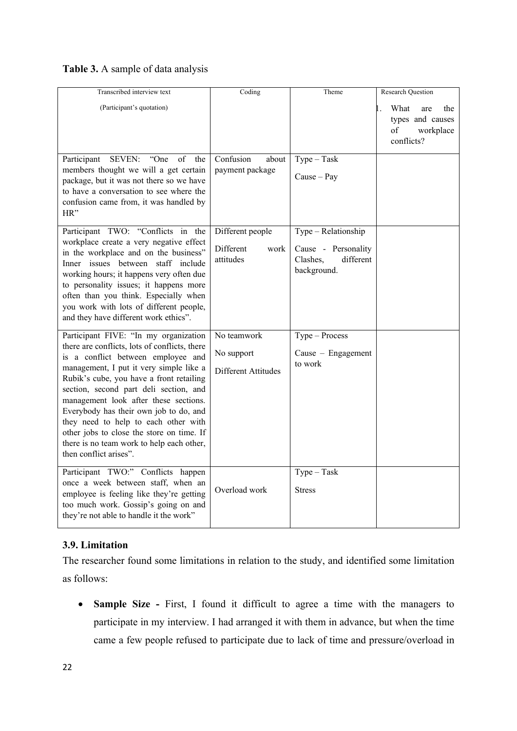# **Table 3.** A sample of data analysis

| Transcribed interview text                                                                                                                                                                                                                                                                                                                                                                                                                                                                                   | Coding                                             | Theme                                                                              | Research Question                                                       |
|--------------------------------------------------------------------------------------------------------------------------------------------------------------------------------------------------------------------------------------------------------------------------------------------------------------------------------------------------------------------------------------------------------------------------------------------------------------------------------------------------------------|----------------------------------------------------|------------------------------------------------------------------------------------|-------------------------------------------------------------------------|
| (Participant's quotation)                                                                                                                                                                                                                                                                                                                                                                                                                                                                                    |                                                    |                                                                                    | What<br>the<br>are<br>types and causes<br>of<br>workplace<br>conflicts? |
| <b>SEVEN:</b><br>"One<br>of<br>Participant<br>the<br>members thought we will a get certain<br>package, but it was not there so we have<br>to have a conversation to see where the<br>confusion came from, it was handled by<br>HR"                                                                                                                                                                                                                                                                           | Confusion<br>about<br>payment package              | $Type - Task$<br>$Cause - Pay$                                                     |                                                                         |
| Participant TWO: "Conflicts in the<br>workplace create a very negative effect<br>in the workplace and on the business"<br>Inner issues between staff include<br>working hours; it happens very often due<br>to personality issues; it happens more<br>often than you think. Especially when<br>you work with lots of different people,<br>and they have different work ethics".                                                                                                                              | Different people<br>Different<br>work<br>attitudes | Type - Relationship<br>Cause - Personality<br>different<br>Clashes,<br>background. |                                                                         |
| Participant FIVE: "In my organization<br>there are conflicts, lots of conflicts, there<br>is a conflict between employee and<br>management, I put it very simple like a<br>Rubik's cube, you have a front retailing<br>section, second part deli section, and<br>management look after these sections.<br>Everybody has their own job to do, and<br>they need to help to each other with<br>other jobs to close the store on time. If<br>there is no team work to help each other,<br>then conflict arises". | No teamwork<br>No support<br>Different Attitudes   | Type - Process<br>Cause $-$ Engagement<br>to work                                  |                                                                         |
| Participant TWO:" Conflicts happen<br>once a week between staff, when an<br>employee is feeling like they're getting<br>too much work. Gossip's going on and<br>they're not able to handle it the work"                                                                                                                                                                                                                                                                                                      | Overload work                                      | $Type - Task$<br><b>Stress</b>                                                     |                                                                         |

## <span id="page-32-0"></span>**3.9. Limitation**

The researcher found some limitations in relation to the study, and identified some limitation as follows:

• **Sample Size -** First, I found it difficult to agree a time with the managers to participate in my interview. I had arranged it with them in advance, but when the time came a few people refused to participate due to lack of time and pressure/overload in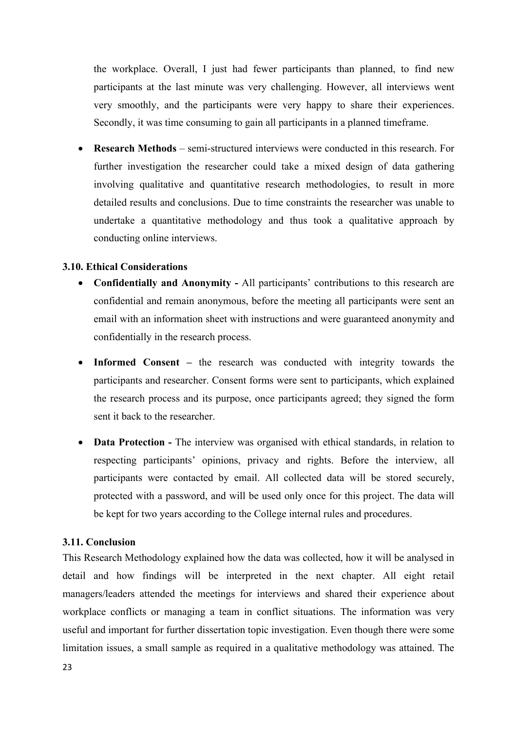the workplace. Overall, I just had fewer participants than planned, to find new participants at the last minute was very challenging. However, all interviews went very smoothly, and the participants were very happy to share their experiences. Secondly, it was time consuming to gain all participants in a planned timeframe.

• **Research Methods** – semi-structured interviews were conducted in this research. For further investigation the researcher could take a mixed design of data gathering involving qualitative and quantitative research methodologies, to result in more detailed results and conclusions. Due to time constraints the researcher was unable to undertake a quantitative methodology and thus took a qualitative approach by conducting online interviews.

## <span id="page-33-0"></span>**3.10. Ethical Considerations**

- **Confidentially and Anonymity -** All participants' contributions to this research are confidential and remain anonymous, before the meeting all participants were sent an email with an information sheet with instructions and were guaranteed anonymity and confidentially in the research process.
- **Informed Consent –** the research was conducted with integrity towards the participants and researcher. Consent forms were sent to participants, which explained the research process and its purpose, once participants agreed; they signed the form sent it back to the researcher.
- **Data Protection -** The interview was organised with ethical standards, in relation to respecting participants' opinions, privacy and rights. Before the interview, all participants were contacted by email. All collected data will be stored securely, protected with a password, and will be used only once for this project. The data will be kept for two years according to the College internal rules and procedures.

#### <span id="page-33-1"></span>**3.11. Conclusion**

This Research Methodology explained how the data was collected, how it will be analysed in detail and how findings will be interpreted in the next chapter. All eight retail managers/leaders attended the meetings for interviews and shared their experience about workplace conflicts or managing a team in conflict situations. The information was very useful and important for further dissertation topic investigation. Even though there were some limitation issues, a small sample as required in a qualitative methodology was attained. The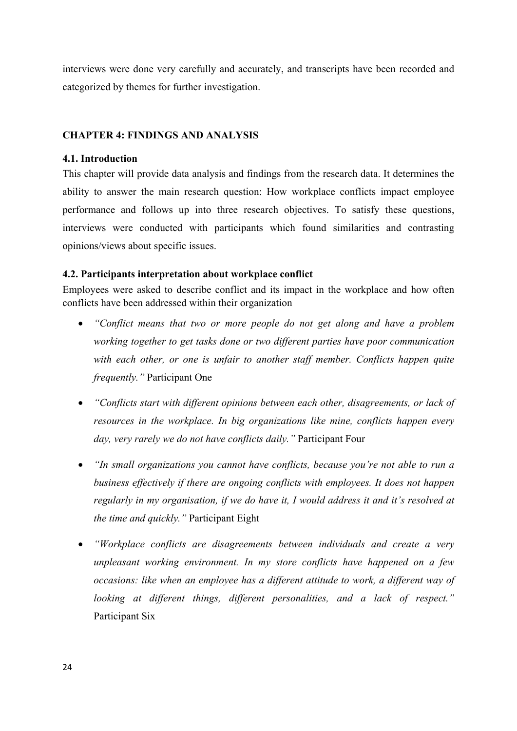interviews were done very carefully and accurately, and transcripts have been recorded and categorized by themes for further investigation.

#### <span id="page-34-0"></span>**CHAPTER 4: FINDINGS AND ANALYSIS**

#### <span id="page-34-1"></span>**4.1. Introduction**

This chapter will provide data analysis and findings from the research data. It determines the ability to answer the main research question: How workplace conflicts impact employee performance and follows up into three research objectives. To satisfy these questions, interviews were conducted with participants which found similarities and contrasting opinions/views about specific issues.

#### <span id="page-34-2"></span>**4.2. Participants interpretation about workplace conflict**

Employees were asked to describe conflict and its impact in the workplace and how often conflicts have been addressed within their organization

- *"Conflict means that two or more people do not get along and have a problem working together to get tasks done or two different parties have poor communication with each other, or one is unfair to another staff member. Conflicts happen quite frequently."* Participant One
- *"Conflicts start with different opinions between each other, disagreements, or lack of resources in the workplace. In big organizations like mine, conflicts happen every day, very rarely we do not have conflicts daily."* Participant Four
- *"In small organizations you cannot have conflicts, because you're not able to run a business effectively if there are ongoing conflicts with employees. It does not happen regularly in my organisation, if we do have it, I would address it and it's resolved at the time and quickly."* Participant Eight
- *"Workplace conflicts are disagreements between individuals and create a very unpleasant working environment. In my store conflicts have happened on a few occasions: like when an employee has a different attitude to work, a different way of looking at different things, different personalities, and a lack of respect."*  Participant Six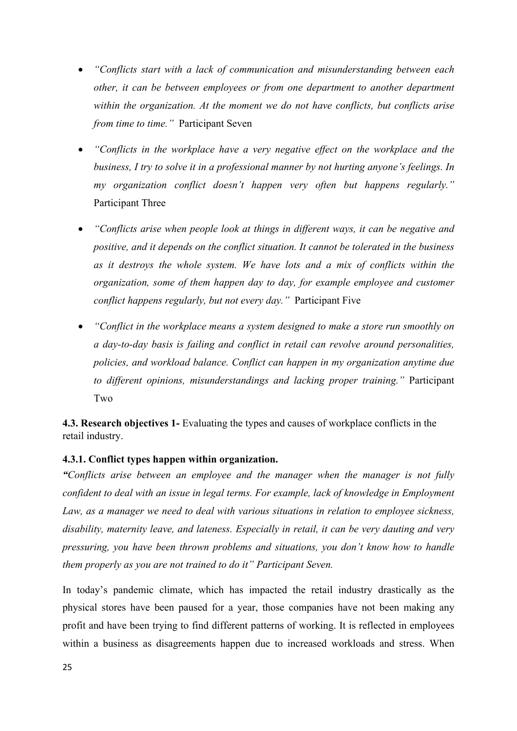- *"Conflicts start with a lack of communication and misunderstanding between each other, it can be between employees or from one department to another department within the organization. At the moment we do not have conflicts, but conflicts arise from time to time."* Participant Seven
- *"Conflicts in the workplace have a very negative effect on the workplace and the business, I try to solve it in a professional manner by not hurting anyone's feelings. In my organization conflict doesn't happen very often but happens regularly."*  Participant Three
- *"Conflicts arise when people look at things in different ways, it can be negative and positive, and it depends on the conflict situation. It cannot be tolerated in the business as it destroys the whole system. We have lots and a mix of conflicts within the organization, some of them happen day to day, for example employee and customer conflict happens regularly, but not every day."* Participant Five
- *"Conflict in the workplace means a system designed to make a store run smoothly on a day-to-day basis is failing and conflict in retail can revolve around personalities, policies, and workload balance. Conflict can happen in my organization anytime due to different opinions, misunderstandings and lacking proper training."* Participant Two

<span id="page-35-0"></span>**4.3. Research objectives 1-** Evaluating the types and causes of workplace conflicts in the retail industry.

## <span id="page-35-1"></span>**4.3.1. Conflict types happen within organization.**

*"Conflicts arise between an employee and the manager when the manager is not fully confident to deal with an issue in legal terms. For example, lack of knowledge in Employment Law, as a manager we need to deal with various situations in relation to employee sickness, disability, maternity leave, and lateness. Especially in retail, it can be very dauting and very pressuring, you have been thrown problems and situations, you don't know how to handle them properly as you are not trained to do it" Participant Seven.*

In today's pandemic climate, which has impacted the retail industry drastically as the physical stores have been paused for a year, those companies have not been making any profit and have been trying to find different patterns of working. It is reflected in employees within a business as disagreements happen due to increased workloads and stress. When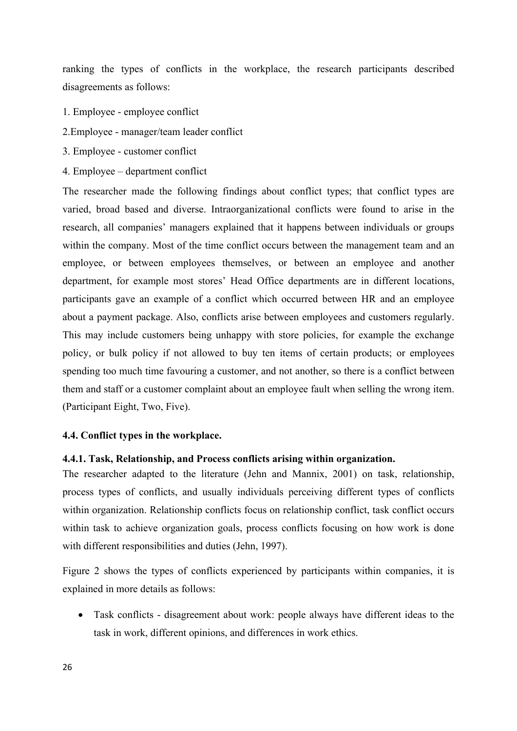ranking the types of conflicts in the workplace, the research participants described disagreements as follows:

- 1. Employee employee conflict
- 2.Employee manager/team leader conflict
- 3. Employee customer conflict
- 4. Employee department conflict

The researcher made the following findings about conflict types; that conflict types are varied, broad based and diverse. Intraorganizational conflicts were found to arise in the research, all companies' managers explained that it happens between individuals or groups within the company. Most of the time conflict occurs between the management team and an employee, or between employees themselves, or between an employee and another department, for example most stores' Head Office departments are in different locations, participants gave an example of a conflict which occurred between HR and an employee about a payment package. Also, conflicts arise between employees and customers regularly. This may include customers being unhappy with store policies, for example the exchange policy, or bulk policy if not allowed to buy ten items of certain products; or employees spending too much time favouring a customer, and not another, so there is a conflict between them and staff or a customer complaint about an employee fault when selling the wrong item. (Participant Eight, Two, Five).

## **4.4. Conflict types in the workplace.**

### **4.4.1. Task, Relationship, and Process conflicts arising within organization.**

The researcher adapted to the literature (Jehn and Mannix, 2001) on task, relationship, process types of conflicts, and usually individuals perceiving different types of conflicts within organization. Relationship conflicts focus on relationship conflict, task conflict occurs within task to achieve organization goals, process conflicts focusing on how work is done with different responsibilities and duties (Jehn, 1997).

Figure 2 shows the types of conflicts experienced by participants within companies, it is explained in more details as follows:

• Task conflicts - disagreement about work: people always have different ideas to the task in work, different opinions, and differences in work ethics.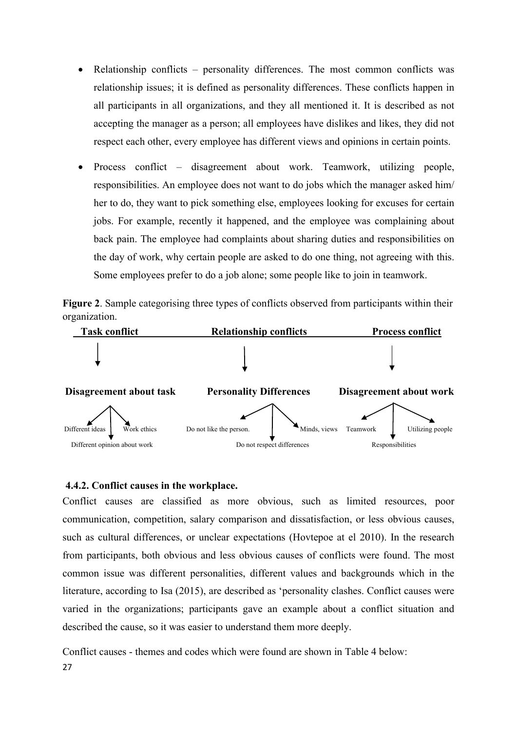- Relationship conflicts personality differences. The most common conflicts was relationship issues; it is defined as personality differences. These conflicts happen in all participants in all organizations, and they all mentioned it. It is described as not accepting the manager as a person; all employees have dislikes and likes, they did not respect each other, every employee has different views and opinions in certain points.
- Process conflict disagreement about work. Teamwork, utilizing people, responsibilities. An employee does not want to do jobs which the manager asked him/ her to do, they want to pick something else, employees looking for excuses for certain jobs. For example, recently it happened, and the employee was complaining about back pain. The employee had complaints about sharing duties and responsibilities on the day of work, why certain people are asked to do one thing, not agreeing with this. Some employees prefer to do a job alone; some people like to join in teamwork.

**Figure 2**. Sample categorising three types of conflicts observed from participants within their organization.



### **4.4.2. Conflict causes in the workplace.**

Conflict causes are classified as more obvious, such as limited resources, poor communication, competition, salary comparison and dissatisfaction, or less obvious causes, such as cultural differences, or unclear expectations (Hovtepoe at el 2010). In the research from participants, both obvious and less obvious causes of conflicts were found. The most common issue was different personalities, different values and backgrounds which in the literature, according to Isa (2015), are described as 'personality clashes. Conflict causes were varied in the organizations; participants gave an example about a conflict situation and described the cause, so it was easier to understand them more deeply.

27 Conflict causes - themes and codes which were found are shown in Table 4 below: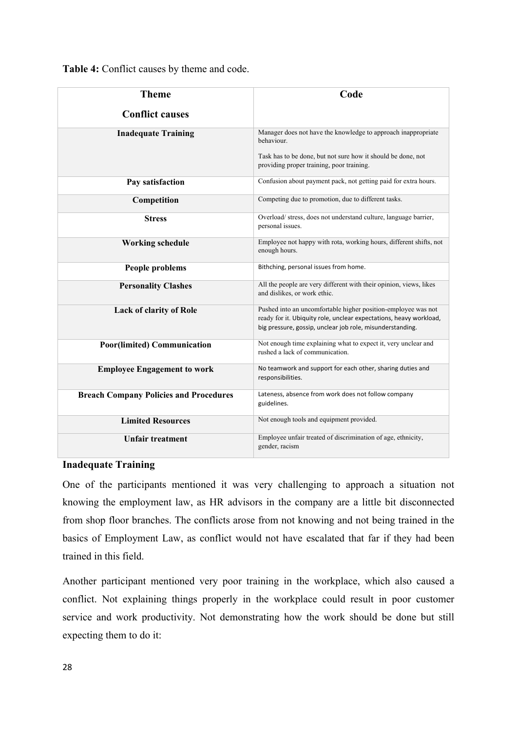**Table 4:** Conflict causes by theme and code.

| <b>Theme</b>                                  | Code                                                                                                                                                                                             |  |
|-----------------------------------------------|--------------------------------------------------------------------------------------------------------------------------------------------------------------------------------------------------|--|
| <b>Conflict causes</b>                        |                                                                                                                                                                                                  |  |
|                                               |                                                                                                                                                                                                  |  |
| <b>Inadequate Training</b>                    | Manager does not have the knowledge to approach inappropriate<br>behaviour.                                                                                                                      |  |
|                                               | Task has to be done, but not sure how it should be done, not<br>providing proper training, poor training.                                                                                        |  |
| Pay satisfaction                              | Confusion about payment pack, not getting paid for extra hours.                                                                                                                                  |  |
| Competition                                   | Competing due to promotion, due to different tasks.                                                                                                                                              |  |
| <b>Stress</b>                                 | Overload/ stress, does not understand culture, language barrier,<br>personal issues.                                                                                                             |  |
| <b>Working schedule</b>                       | Employee not happy with rota, working hours, different shifts, not<br>enough hours.                                                                                                              |  |
| People problems                               | Bithching, personal issues from home.                                                                                                                                                            |  |
| <b>Personality Clashes</b>                    | All the people are very different with their opinion, views, likes<br>and dislikes, or work ethic.                                                                                               |  |
| <b>Lack of clarity of Role</b>                | Pushed into an uncomfortable higher position-employee was not<br>ready for it. Ubiquity role, unclear expectations, heavy workload,<br>big pressure, gossip, unclear job role, misunderstanding. |  |
| <b>Poor(limited) Communication</b>            | Not enough time explaining what to expect it, very unclear and<br>rushed a lack of communication.                                                                                                |  |
| <b>Employee Engagement to work</b>            | No teamwork and support for each other, sharing duties and<br>responsibilities.                                                                                                                  |  |
| <b>Breach Company Policies and Procedures</b> | Lateness, absence from work does not follow company<br>guidelines.                                                                                                                               |  |
| <b>Limited Resources</b>                      | Not enough tools and equipment provided.                                                                                                                                                         |  |
| <b>Unfair treatment</b>                       | Employee unfair treated of discrimination of age, ethnicity,<br>gender, racism                                                                                                                   |  |

# **Inadequate Training**

One of the participants mentioned it was very challenging to approach a situation not knowing the employment law, as HR advisors in the company are a little bit disconnected from shop floor branches. The conflicts arose from not knowing and not being trained in the basics of Employment Law, as conflict would not have escalated that far if they had been trained in this field.

Another participant mentioned very poor training in the workplace, which also caused a conflict. Not explaining things properly in the workplace could result in poor customer service and work productivity. Not demonstrating how the work should be done but still expecting them to do it: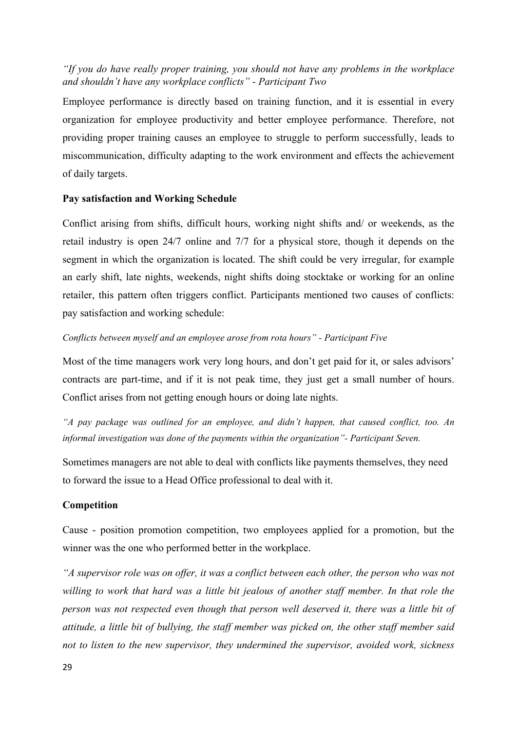# *"If you do have really proper training, you should not have any problems in the workplace and shouldn't have any workplace conflicts" - Participant Two*

Employee performance is directly based on training function, and it is essential in every organization for employee productivity and better employee performance. Therefore, not providing proper training causes an employee to struggle to perform successfully, leads to miscommunication, difficulty adapting to the work environment and effects the achievement of daily targets.

## **Pay satisfaction and Working Schedule**

Conflict arising from shifts, difficult hours, working night shifts and/ or weekends, as the retail industry is open 24/7 online and 7/7 for a physical store, though it depends on the segment in which the organization is located. The shift could be very irregular, for example an early shift, late nights, weekends, night shifts doing stocktake or working for an online retailer, this pattern often triggers conflict. Participants mentioned two causes of conflicts: pay satisfaction and working schedule:

## *Conflicts between myself and an employee arose from rota hours" - Participant Five*

Most of the time managers work very long hours, and don't get paid for it, or sales advisors' contracts are part-time, and if it is not peak time, they just get a small number of hours. Conflict arises from not getting enough hours or doing late nights.

*"A pay package was outlined for an employee, and didn't happen, that caused conflict, too. An informal investigation was done of the payments within the organization"- Participant Seven.*

Sometimes managers are not able to deal with conflicts like payments themselves, they need to forward the issue to a Head Office professional to deal with it.

### **Competition**

Cause - position promotion competition, two employees applied for a promotion, but the winner was the one who performed better in the workplace.

*"A supervisor role was on offer, it was a conflict between each other, the person who was not willing to work that hard was a little bit jealous of another staff member. In that role the person was not respected even though that person well deserved it, there was a little bit of attitude, a little bit of bullying, the staff member was picked on, the other staff member said not to listen to the new supervisor, they undermined the supervisor, avoided work, sickness*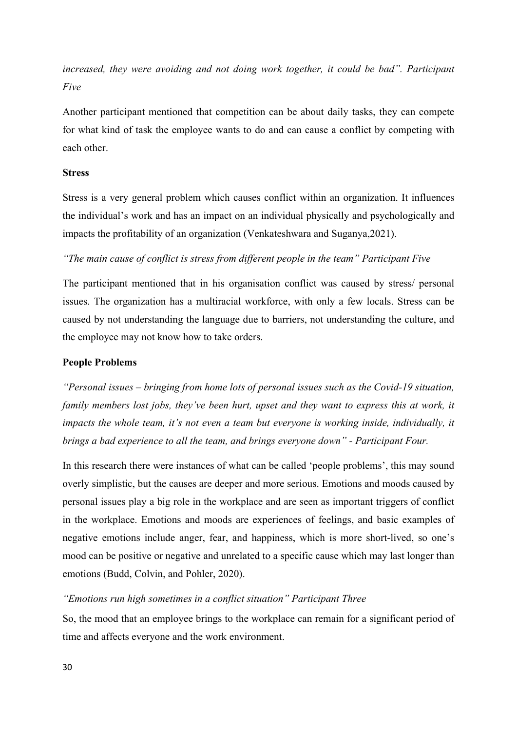*increased, they were avoiding and not doing work together, it could be bad". Participant Five*

Another participant mentioned that competition can be about daily tasks, they can compete for what kind of task the employee wants to do and can cause a conflict by competing with each other.

## **Stress**

Stress is a very general problem which causes conflict within an organization. It influences the individual's work and has an impact on an individual physically and psychologically and impacts the profitability of an organization (Venkateshwara and Suganya,2021).

### *"The main cause of conflict is stress from different people in the team" Participant Five*

The participant mentioned that in his organisation conflict was caused by stress/ personal issues. The organization has a multiracial workforce, with only a few locals. Stress can be caused by not understanding the language due to barriers, not understanding the culture, and the employee may not know how to take orders.

#### **People Problems**

*"Personal issues – bringing from home lots of personal issues such as the Covid-19 situation, family members lost jobs, they've been hurt, upset and they want to express this at work, it* impacts the whole team, it's not even a team but everyone is working inside, individually, it *brings a bad experience to all the team, and brings everyone down" - Participant Four.*

In this research there were instances of what can be called 'people problems', this may sound overly simplistic, but the causes are deeper and more serious. Emotions and moods caused by personal issues play a big role in the workplace and are seen as important triggers of conflict in the workplace. Emotions and moods are experiences of feelings, and basic examples of negative emotions include anger, fear, and happiness, which is more short-lived, so one's mood can be positive or negative and unrelated to a specific cause which may last longer than emotions (Budd, Colvin, and Pohler, 2020).

#### *"Emotions run high sometimes in a conflict situation" Participant Three*

So, the mood that an employee brings to the workplace can remain for a significant period of time and affects everyone and the work environment.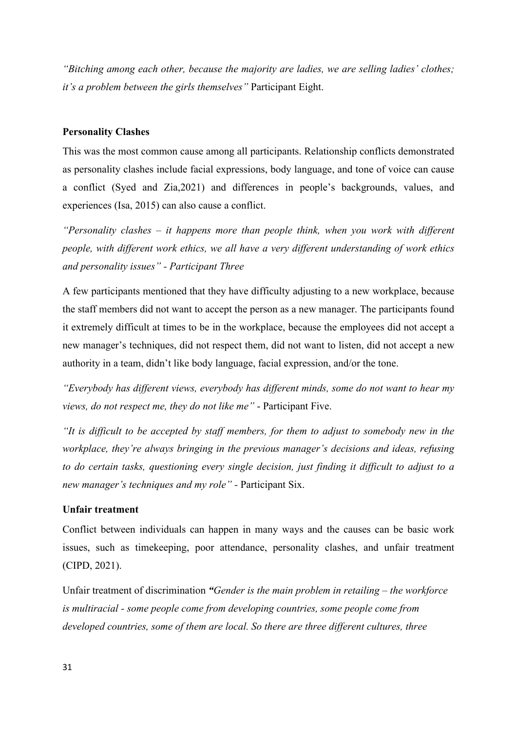*"Bitching among each other, because the majority are ladies, we are selling ladies' clothes; it's a problem between the girls themselves"* Participant Eight.

## **Personality Clashes**

This was the most common cause among all participants. Relationship conflicts demonstrated as personality clashes include facial expressions, body language, and tone of voice can cause a conflict (Syed and Zia,2021) and differences in people's backgrounds, values, and experiences (Isa, 2015) can also cause a conflict.

*"Personality clashes – it happens more than people think, when you work with different people, with different work ethics, we all have a very different understanding of work ethics and personality issues" - Participant Three*

A few participants mentioned that they have difficulty adjusting to a new workplace, because the staff members did not want to accept the person as a new manager. The participants found it extremely difficult at times to be in the workplace, because the employees did not accept a new manager's techniques, did not respect them, did not want to listen, did not accept a new authority in a team, didn't like body language, facial expression, and/or the tone.

*"Everybody has different views, everybody has different minds, some do not want to hear my views, do not respect me, they do not like me"* - Participant Five.

*"It is difficult to be accepted by staff members, for them to adjust to somebody new in the workplace, they're always bringing in the previous manager's decisions and ideas, refusing to do certain tasks, questioning every single decision, just finding it difficult to adjust to a new manager's techniques and my role" -* Participant Six.

#### **Unfair treatment**

Conflict between individuals can happen in many ways and the causes can be basic work issues, such as timekeeping, poor attendance, personality clashes, and unfair treatment (CIPD, 2021).

Unfair treatment of discrimination *"Gender is the main problem in retailing – the workforce is multiracial - some people come from developing countries, some people come from developed countries, some of them are local. So there are three different cultures, three*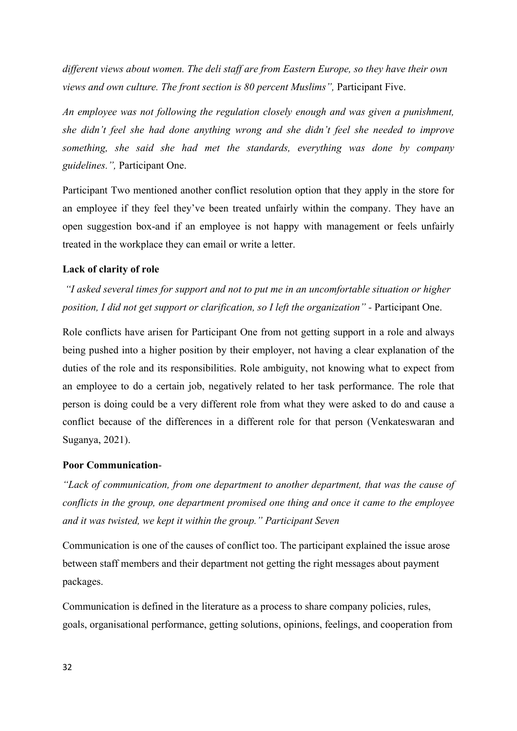*different views about women. The deli staff are from Eastern Europe, so they have their own views and own culture. The front section is 80 percent Muslims",* Participant Five.

*An employee was not following the regulation closely enough and was given a punishment, she didn't feel she had done anything wrong and she didn't feel she needed to improve something, she said she had met the standards, everything was done by company guidelines.",* Participant One.

Participant Two mentioned another conflict resolution option that they apply in the store for an employee if they feel they've been treated unfairly within the company. They have an open suggestion box-and if an employee is not happy with management or feels unfairly treated in the workplace they can email or write a letter.

### **Lack of clarity of role**

*"I asked several times for support and not to put me in an uncomfortable situation or higher position, I did not get support or clarification, so I left the organization" -* Participant One.

Role conflicts have arisen for Participant One from not getting support in a role and always being pushed into a higher position by their employer, not having a clear explanation of the duties of the role and its responsibilities. Role ambiguity, not knowing what to expect from an employee to do a certain job, negatively related to her task performance. The role that person is doing could be a very different role from what they were asked to do and cause a conflict because of the differences in a different role for that person (Venkateswaran and Suganya, 2021).

## **Poor Communication**-

*"Lack of communication, from one department to another department, that was the cause of conflicts in the group, one department promised one thing and once it came to the employee and it was twisted, we kept it within the group." Participant Seven*

Communication is one of the causes of conflict too. The participant explained the issue arose between staff members and their department not getting the right messages about payment packages.

Communication is defined in the literature as a process to share company policies, rules, goals, organisational performance, getting solutions, opinions, feelings, and cooperation from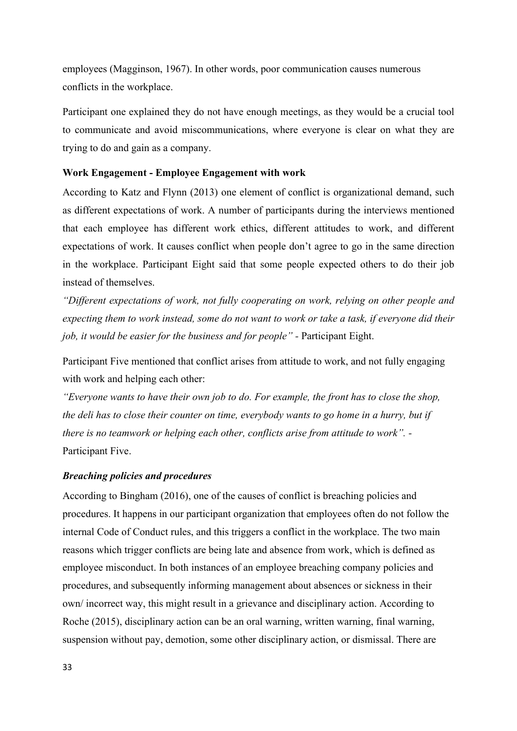employees (Magginson, 1967). In other words, poor communication causes numerous conflicts in the workplace.

Participant one explained they do not have enough meetings, as they would be a crucial tool to communicate and avoid miscommunications, where everyone is clear on what they are trying to do and gain as a company.

## **Work Engagement - Employee Engagement with work**

According to Katz and Flynn (2013) one element of conflict is organizational demand, such as different expectations of work. A number of participants during the interviews mentioned that each employee has different work ethics, different attitudes to work, and different expectations of work. It causes conflict when people don't agree to go in the same direction in the workplace. Participant Eight said that some people expected others to do their job instead of themselves.

*"Different expectations of work, not fully cooperating on work, relying on other people and expecting them to work instead, some do not want to work or take a task, if everyone did their job, it would be easier for the business and for people" -* Participant Eight.

Participant Five mentioned that conflict arises from attitude to work, and not fully engaging with work and helping each other:

*"Everyone wants to have their own job to do. For example, the front has to close the shop, the deli has to close their counter on time, everybody wants to go home in a hurry, but if there is no teamwork or helping each other, conflicts arise from attitude to work". -* Participant Five.

## *Breaching policies and procedures*

According to Bingham (2016), one of the causes of conflict is breaching policies and procedures. It happens in our participant organization that employees often do not follow the internal Code of Conduct rules, and this triggers a conflict in the workplace. The two main reasons which trigger conflicts are being late and absence from work, which is defined as employee misconduct. In both instances of an employee breaching company policies and procedures, and subsequently informing management about absences or sickness in their own/ incorrect way, this might result in a grievance and disciplinary action. According to Roche (2015), disciplinary action can be an oral warning, written warning, final warning, suspension without pay, demotion, some other disciplinary action, or dismissal. There are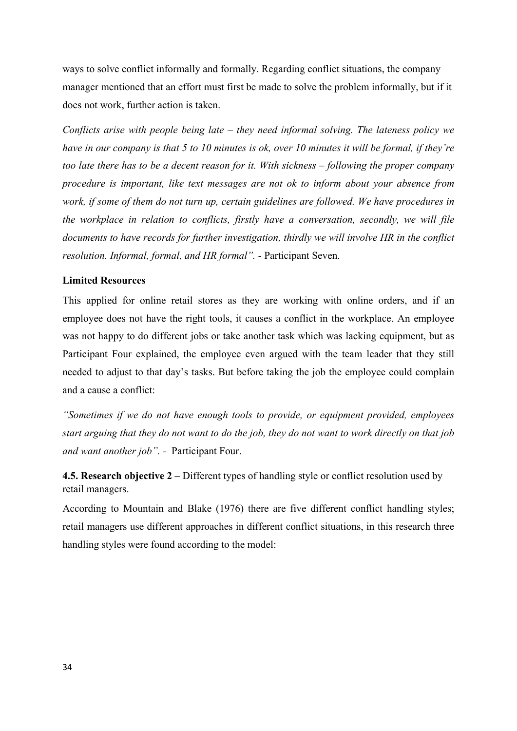ways to solve conflict informally and formally. Regarding conflict situations, the company manager mentioned that an effort must first be made to solve the problem informally, but if it does not work, further action is taken.

*Conflicts arise with people being late – they need informal solving. The lateness policy we have in our company is that 5 to 10 minutes is ok, over 10 minutes it will be formal, if they're too late there has to be a decent reason for it. With sickness – following the proper company procedure is important, like text messages are not ok to inform about your absence from work, if some of them do not turn up, certain guidelines are followed. We have procedures in the workplace in relation to conflicts, firstly have a conversation, secondly, we will file documents to have records for further investigation, thirdly we will involve HR in the conflict resolution. Informal, formal, and HR formal". -* Participant Seven.

### **Limited Resources**

This applied for online retail stores as they are working with online orders, and if an employee does not have the right tools, it causes a conflict in the workplace. An employee was not happy to do different jobs or take another task which was lacking equipment, but as Participant Four explained, the employee even argued with the team leader that they still needed to adjust to that day's tasks. But before taking the job the employee could complain and a cause a conflict:

*"Sometimes if we do not have enough tools to provide, or equipment provided, employees start arguing that they do not want to do the job, they do not want to work directly on that job and want another job". -* Participant Four.

**4.5. Research objective 2 –** Different types of handling style or conflict resolution used by retail managers.

According to Mountain and Blake (1976) there are five different conflict handling styles; retail managers use different approaches in different conflict situations, in this research three handling styles were found according to the model: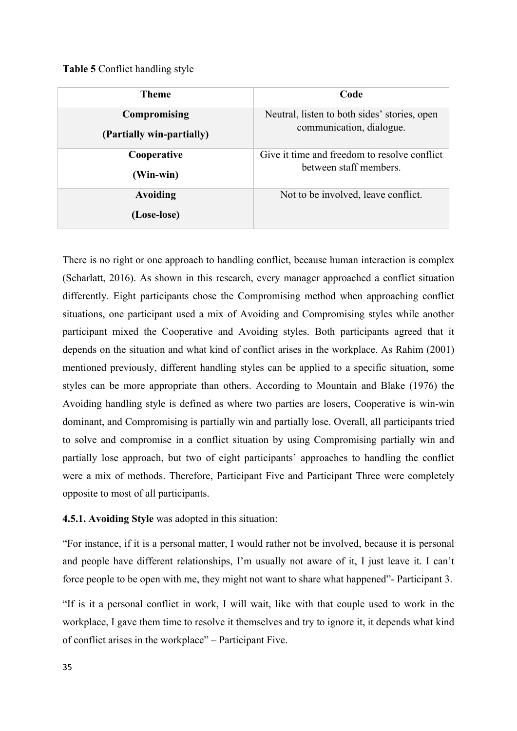### **Table 5** Conflict handling style

| <b>Theme</b>                              | Code                                                                     |
|-------------------------------------------|--------------------------------------------------------------------------|
| Compromising<br>(Partially win-partially) | Neutral, listen to both sides' stories, open<br>communication, dialogue. |
| Cooperative                               | Give it time and freedom to resolve conflict<br>between staff members.   |
| (Win-win)                                 |                                                                          |
| Avoiding                                  | Not to be involved, leave conflict.                                      |
| (Lose-lose)                               |                                                                          |

There is no right or one approach to handling conflict, because human interaction is complex (Scharlatt, 2016). As shown in this research, every manager approached a conflict situation differently. Eight participants chose the Compromising method when approaching conflict situations, one participant used a mix of Avoiding and Compromising styles while another participant mixed the Cooperative and Avoiding styles. Both participants agreed that it depends on the situation and what kind of conflict arises in the workplace. As Rahim (2001) mentioned previously, different handling styles can be applied to a specific situation, some styles can be more appropriate than others. According to Mountain and Blake (1976) the Avoiding handling style is defined as where two parties are losers, Cooperative is win-win dominant, and Compromising is partially win and partially lose. Overall, all participants tried to solve and compromise in a conflict situation by using Compromising partially win and partially lose approach, but two of eight participants' approaches to handling the conflict were a mix of methods. Therefore, Participant Five and Participant Three were completely opposite to most of all participants.

## **4.5.1. Avoiding Style** was adopted in this situation:

"For instance, if it is a personal matter, I would rather not be involved, because it is personal and people have different relationships, I'm usually not aware of it, I just leave it. I can't force people to be open with me, they might not want to share what happened"- Participant 3.

"If is it a personal conflict in work, I will wait, like with that couple used to work in the workplace, I gave them time to resolve it themselves and try to ignore it, it depends what kind of conflict arises in the workplace" – Participant Five.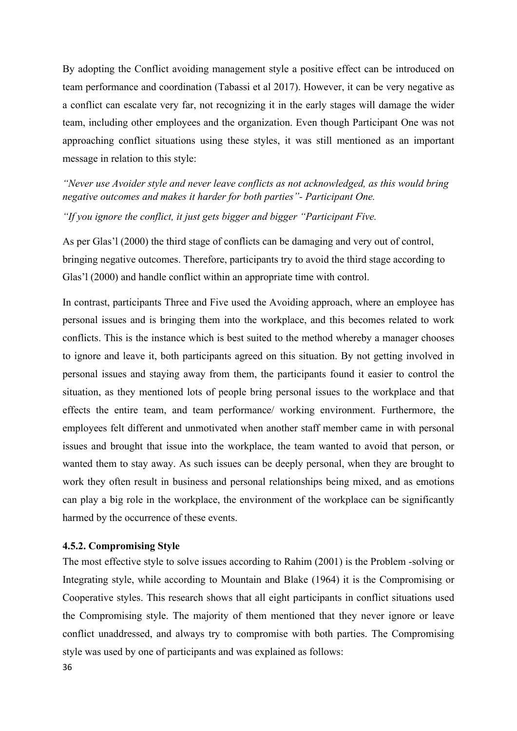By adopting the Conflict avoiding management style a positive effect can be introduced on team performance and coordination (Tabassi et al 2017). However, it can be very negative as a conflict can escalate very far, not recognizing it in the early stages will damage the wider team, including other employees and the organization. Even though Participant One was not approaching conflict situations using these styles, it was still mentioned as an important message in relation to this style:

*"Never use Avoider style and never leave conflicts as not acknowledged, as this would bring negative outcomes and makes it harder for both parties"- Participant One.*

*"If you ignore the conflict, it just gets bigger and bigger "Participant Five.*

As per Glas'l (2000) the third stage of conflicts can be damaging and very out of control, bringing negative outcomes. Therefore, participants try to avoid the third stage according to Glas'l (2000) and handle conflict within an appropriate time with control.

In contrast, participants Three and Five used the Avoiding approach, where an employee has personal issues and is bringing them into the workplace, and this becomes related to work conflicts. This is the instance which is best suited to the method whereby a manager chooses to ignore and leave it, both participants agreed on this situation. By not getting involved in personal issues and staying away from them, the participants found it easier to control the situation, as they mentioned lots of people bring personal issues to the workplace and that effects the entire team, and team performance/ working environment. Furthermore, the employees felt different and unmotivated when another staff member came in with personal issues and brought that issue into the workplace, the team wanted to avoid that person, or wanted them to stay away. As such issues can be deeply personal, when they are brought to work they often result in business and personal relationships being mixed, and as emotions can play a big role in the workplace, the environment of the workplace can be significantly harmed by the occurrence of these events.

#### **4.5.2. Compromising Style**

The most effective style to solve issues according to Rahim (2001) is the Problem -solving or Integrating style, while according to Mountain and Blake (1964) it is the Compromising or Cooperative styles. This research shows that all eight participants in conflict situations used the Compromising style. The majority of them mentioned that they never ignore or leave conflict unaddressed, and always try to compromise with both parties. The Compromising style was used by one of participants and was explained as follows: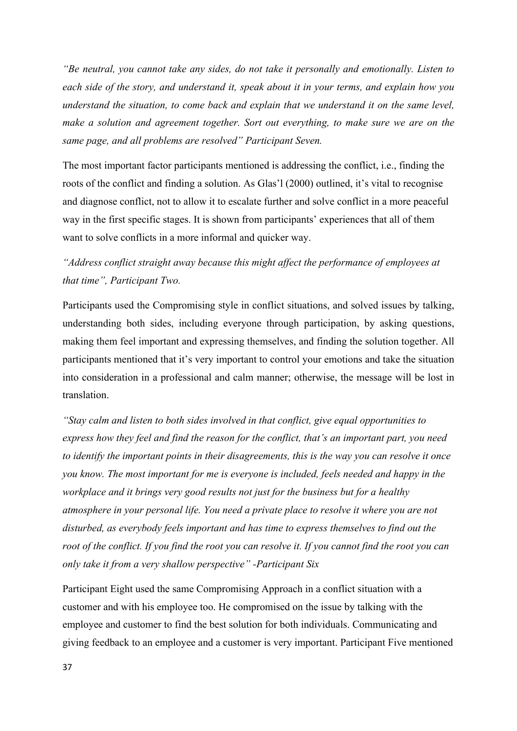*"Be neutral, you cannot take any sides, do not take it personally and emotionally. Listen to each side of the story, and understand it, speak about it in your terms, and explain how you understand the situation, to come back and explain that we understand it on the same level, make a solution and agreement together. Sort out everything, to make sure we are on the same page, and all problems are resolved" Participant Seven.*

The most important factor participants mentioned is addressing the conflict, i.e., finding the roots of the conflict and finding a solution. As Glas'l (2000) outlined, it's vital to recognise and diagnose conflict, not to allow it to escalate further and solve conflict in a more peaceful way in the first specific stages. It is shown from participants' experiences that all of them want to solve conflicts in a more informal and quicker way.

# *"Address conflict straight away because this might affect the performance of employees at that time", Participant Two.*

Participants used the Compromising style in conflict situations, and solved issues by talking, understanding both sides, including everyone through participation, by asking questions, making them feel important and expressing themselves, and finding the solution together. All participants mentioned that it's very important to control your emotions and take the situation into consideration in a professional and calm manner; otherwise, the message will be lost in translation.

*"Stay calm and listen to both sides involved in that conflict, give equal opportunities to express how they feel and find the reason for the conflict, that's an important part, you need to identify the important points in their disagreements, this is the way you can resolve it once you know. The most important for me is everyone is included, feels needed and happy in the workplace and it brings very good results not just for the business but for a healthy atmosphere in your personal life. You need a private place to resolve it where you are not disturbed, as everybody feels important and has time to express themselves to find out the root of the conflict. If you find the root you can resolve it. If you cannot find the root you can only take it from a very shallow perspective" -Participant Six*

Participant Eight used the same Compromising Approach in a conflict situation with a customer and with his employee too. He compromised on the issue by talking with the employee and customer to find the best solution for both individuals. Communicating and giving feedback to an employee and a customer is very important. Participant Five mentioned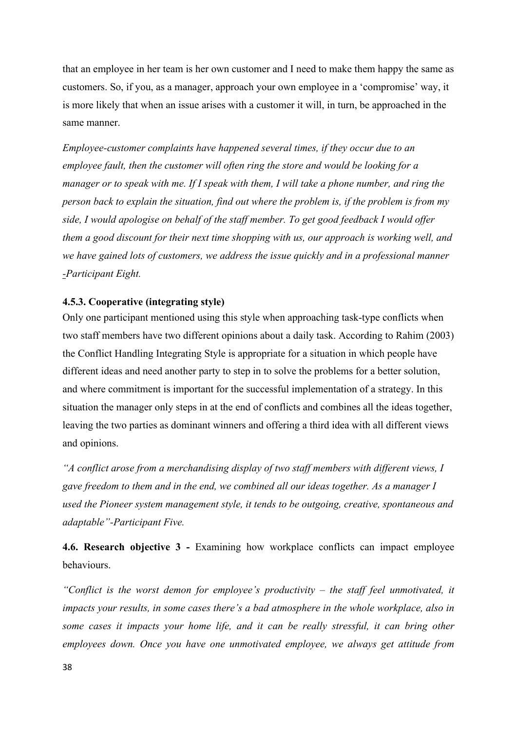that an employee in her team is her own customer and I need to make them happy the same as customers. So, if you, as a manager, approach your own employee in a 'compromise' way, it is more likely that when an issue arises with a customer it will, in turn, be approached in the same manner.

*Employee-customer complaints have happened several times, if they occur due to an employee fault, then the customer will often ring the store and would be looking for a manager or to speak with me. If I speak with them, I will take a phone number, and ring the person back to explain the situation, find out where the problem is, if the problem is from my side, I would apologise on behalf of the staff member. To get good feedback I would offer them a good discount for their next time shopping with us, our approach is working well, and we have gained lots of customers, we address the issue quickly and in a professional manner -Participant Eight.*

## **4.5.3. Cooperative (integrating style)**

Only one participant mentioned using this style when approaching task-type conflicts when two staff members have two different opinions about a daily task. According to Rahim (2003) the Conflict Handling Integrating Style is appropriate for a situation in which people have different ideas and need another party to step in to solve the problems for a better solution, and where commitment is important for the successful implementation of a strategy. In this situation the manager only steps in at the end of conflicts and combines all the ideas together, leaving the two parties as dominant winners and offering a third idea with all different views and opinions.

*"A conflict arose from a merchandising display of two staff members with different views, I gave freedom to them and in the end, we combined all our ideas together. As a manager I used the Pioneer system management style, it tends to be outgoing, creative, spontaneous and adaptable"-Participant Five.*

**4.6. Research objective 3 -** Examining how workplace conflicts can impact employee behaviours.

*"Conflict is the worst demon for employee's productivity – the staff feel unmotivated, it impacts your results, in some cases there's a bad atmosphere in the whole workplace, also in some cases it impacts your home life, and it can be really stressful, it can bring other employees down. Once you have one unmotivated employee, we always get attitude from*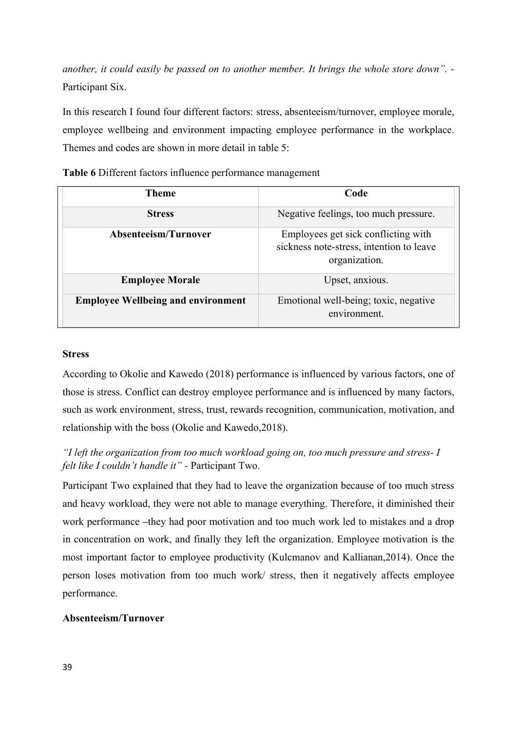*another, it could easily be passed on to another member. It brings the whole store down". -*  Participant Six.

In this research I found four different factors: stress, absenteeism/turnover, employee morale, employee wellbeing and environment impacting employee performance in the workplace. Themes and codes are shown in more detail in table 5:

| Theme                                     | Code                                                                                             |
|-------------------------------------------|--------------------------------------------------------------------------------------------------|
| <b>Stress</b>                             | Negative feelings, too much pressure.                                                            |
| Absenteeism/Turnover                      | Employees get sick conflicting with<br>sickness note-stress, intention to leave<br>organization. |
| <b>Employee Morale</b>                    | Upset, anxious.                                                                                  |
| <b>Employee Wellbeing and environment</b> | Emotional well-being; toxic, negative<br>environment.                                            |

**Table 6** Different factors influence performance management

## **Stress**

According to Okolie and Kawedo (2018) performance is influenced by various factors, one of those is stress. Conflict can destroy employee performance and is influenced by many factors, such as work environment, stress, trust, rewards recognition, communication, motivation, and relationship with the boss (Okolie and Kawedo,2018).

# *"I left the organization from too much workload going on, too much pressure and stress- I felt like I couldn't handle it" -* Participant Two.

Participant Two explained that they had to leave the organization because of too much stress and heavy workload, they were not able to manage everything. Therefore, it diminished their work performance **–**they had poor motivation and too much work led to mistakes and a drop in concentration on work, and finally they left the organization. Employee motivation is the most important factor to employee productivity (Kulcmanov and Kallianan,2014). Once the person loses motivation from too much work/ stress, then it negatively affects employee performance.

## **Absenteeism/Turnover**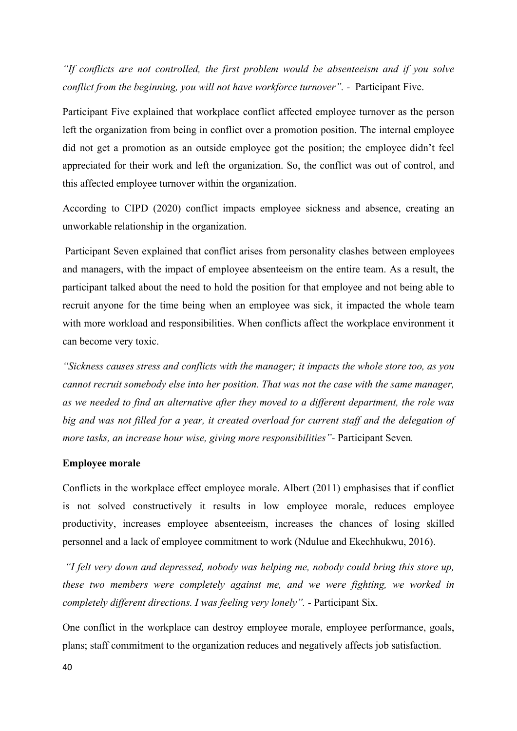*"If conflicts are not controlled, the first problem would be absenteeism and if you solve conflict from the beginning, you will not have workforce turnover".* - Participant Five.

Participant Five explained that workplace conflict affected employee turnover as the person left the organization from being in conflict over a promotion position. The internal employee did not get a promotion as an outside employee got the position; the employee didn't feel appreciated for their work and left the organization. So, the conflict was out of control, and this affected employee turnover within the organization.

According to CIPD (2020) conflict impacts employee sickness and absence, creating an unworkable relationship in the organization.

Participant Seven explained that conflict arises from personality clashes between employees and managers, with the impact of employee absenteeism on the entire team. As a result, the participant talked about the need to hold the position for that employee and not being able to recruit anyone for the time being when an employee was sick, it impacted the whole team with more workload and responsibilities. When conflicts affect the workplace environment it can become very toxic.

*"Sickness causes stress and conflicts with the manager; it impacts the whole store too, as you cannot recruit somebody else into her position. That was not the case with the same manager, as we needed to find an alternative after they moved to a different department, the role was big and was not filled for a year, it created overload for current staff and the delegation of more tasks, an increase hour wise, giving more responsibilities"-* Participant Seven*.* 

### **Employee morale**

Conflicts in the workplace effect employee morale. Albert (2011) emphasises that if conflict is not solved constructively it results in low employee morale, reduces employee productivity, increases employee absenteeism, increases the chances of losing skilled personnel and a lack of employee commitment to work (Ndulue and Ekechhukwu, 2016).

*"I felt very down and depressed, nobody was helping me, nobody could bring this store up, these two members were completely against me, and we were fighting, we worked in completely different directions. I was feeling very lonely". -* Participant Six.

One conflict in the workplace can destroy employee morale, employee performance, goals, plans; staff commitment to the organization reduces and negatively affects job satisfaction.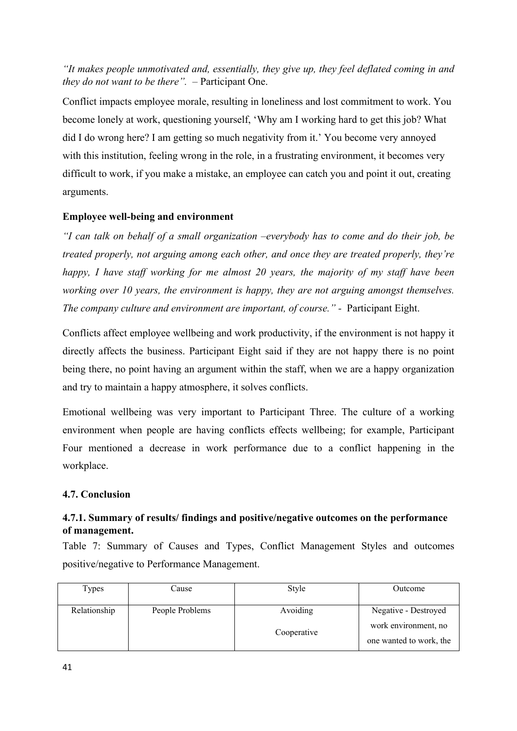*"It makes people unmotivated and, essentially, they give up, they feel deflated coming in and they do not want to be there". –* Participant One.

Conflict impacts employee morale, resulting in loneliness and lost commitment to work. You become lonely at work, questioning yourself, 'Why am I working hard to get this job? What did I do wrong here? I am getting so much negativity from it.' You become very annoyed with this institution, feeling wrong in the role, in a frustrating environment, it becomes very difficult to work, if you make a mistake, an employee can catch you and point it out, creating arguments.

## **Employee well-being and environment**

*"I can talk on behalf of a small organization –everybody has to come and do their job, be treated properly, not arguing among each other, and once they are treated properly, they're happy, I have staff working for me almost 20 years, the majority of my staff have been working over 10 years, the environment is happy, they are not arguing amongst themselves. The company culture and environment are important, of course." -* Participant Eight.

Conflicts affect employee wellbeing and work productivity, if the environment is not happy it directly affects the business. Participant Eight said if they are not happy there is no point being there, no point having an argument within the staff, when we are a happy organization and try to maintain a happy atmosphere, it solves conflicts.

Emotional wellbeing was very important to Participant Three. The culture of a working environment when people are having conflicts effects wellbeing; for example, Participant Four mentioned a decrease in work performance due to a conflict happening in the workplace.

## **4.7. Conclusion**

## **4.7.1. Summary of results/ findings and positive/negative outcomes on the performance of management.**

Table 7: Summary of Causes and Types, Conflict Management Styles and outcomes positive/negative to Performance Management.

| Types        | Cause           | Style                   | Outcome                                                                 |
|--------------|-----------------|-------------------------|-------------------------------------------------------------------------|
| Relationship | People Problems | Avoiding<br>Cooperative | Negative - Destroyed<br>work environment, no<br>one wanted to work, the |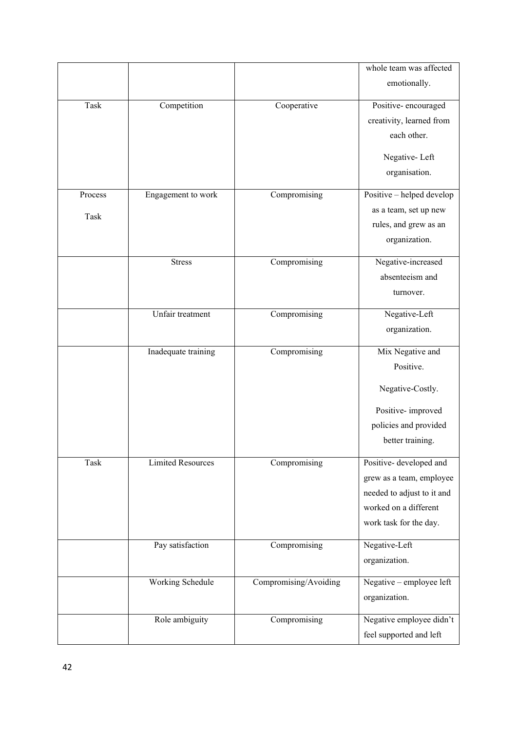|         |                          |                       | whole team was affected    |
|---------|--------------------------|-----------------------|----------------------------|
|         |                          |                       | emotionally.               |
| Task    | Competition              | Cooperative           | Positive-encouraged        |
|         |                          |                       | creativity, learned from   |
|         |                          |                       | each other.                |
|         |                          |                       | Negative-Left              |
|         |                          |                       | organisation.              |
| Process | Engagement to work       | Compromising          | Positive - helped develop  |
| Task    |                          |                       | as a team, set up new      |
|         |                          |                       | rules, and grew as an      |
|         |                          |                       | organization.              |
|         | <b>Stress</b>            | Compromising          | Negative-increased         |
|         |                          |                       | absenteeism and            |
|         |                          |                       | turnover.                  |
|         | Unfair treatment         | Compromising          | Negative-Left              |
|         |                          |                       | organization.              |
|         | Inadequate training      | Compromising          | Mix Negative and           |
|         |                          |                       | Positive.                  |
|         |                          |                       | Negative-Costly.           |
|         |                          |                       | Positive-improved          |
|         |                          |                       | policies and provided      |
|         |                          |                       | better training.           |
| Task    | <b>Limited Resources</b> | Compromising          | Positive- developed and    |
|         |                          |                       | grew as a team, employee   |
|         |                          |                       | needed to adjust to it and |
|         |                          |                       | worked on a different      |
|         |                          |                       | work task for the day.     |
|         | Pay satisfaction         | Compromising          | Negative-Left              |
|         |                          |                       | organization.              |
|         | Working Schedule         | Compromising/Avoiding | Negative - employee left   |
|         |                          |                       | organization.              |
|         | Role ambiguity           | Compromising          | Negative employee didn't   |
|         |                          |                       | feel supported and left    |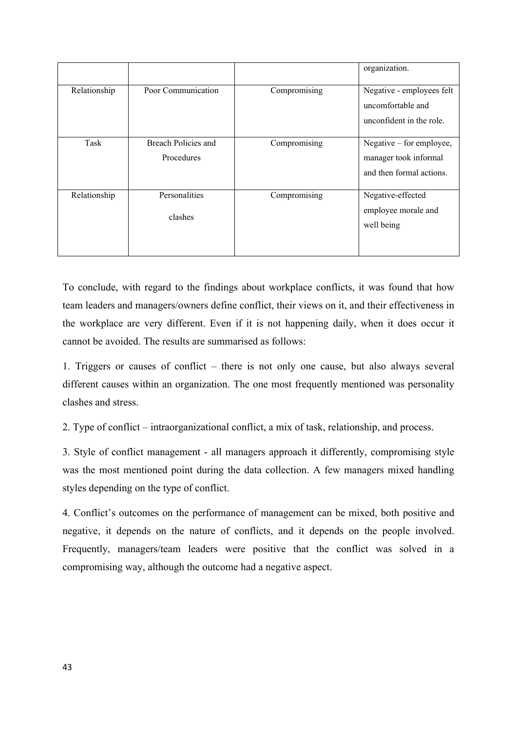|              |                                   |              | organization.                                                                 |
|--------------|-----------------------------------|--------------|-------------------------------------------------------------------------------|
| Relationship | Poor Communication                | Compromising | Negative - employees felt<br>uncomfortable and<br>unconfident in the role.    |
| Task         | Breach Policies and<br>Procedures | Compromising | Negative – for employee,<br>manager took informal<br>and then formal actions. |
| Relationship | Personalities<br>clashes          | Compromising | Negative-effected<br>employee morale and<br>well being                        |

To conclude, with regard to the findings about workplace conflicts, it was found that how team leaders and managers/owners define conflict, their views on it, and their effectiveness in the workplace are very different. Even if it is not happening daily, when it does occur it cannot be avoided. The results are summarised as follows:

1. Triggers or causes of conflict – there is not only one cause, but also always several different causes within an organization. The one most frequently mentioned was personality clashes and stress.

2. Type of conflict – intraorganizational conflict, a mix of task, relationship, and process.

3. Style of conflict management - all managers approach it differently, compromising style was the most mentioned point during the data collection. A few managers mixed handling styles depending on the type of conflict.

4. Conflict's outcomes on the performance of management can be mixed, both positive and negative, it depends on the nature of conflicts, and it depends on the people involved. Frequently, managers/team leaders were positive that the conflict was solved in a compromising way, although the outcome had a negative aspect.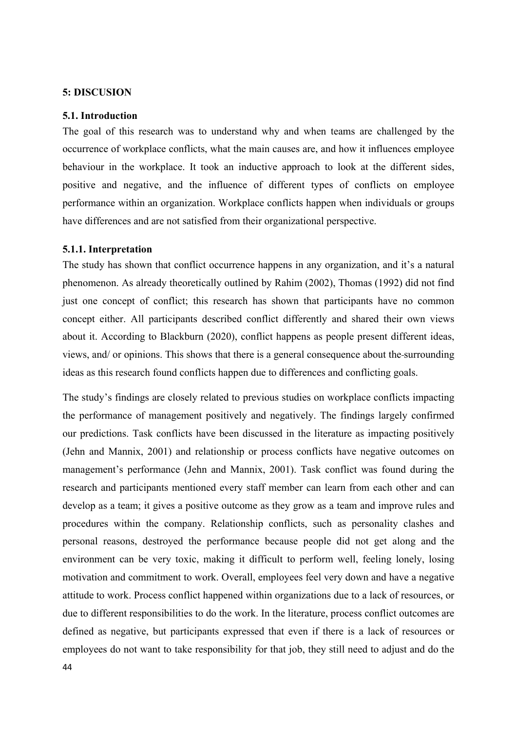#### **5: DISCUSION**

#### **5.1. Introduction**

The goal of this research was to understand why and when teams are challenged by the occurrence of workplace conflicts, what the main causes are, and how it influences employee behaviour in the workplace. It took an inductive approach to look at the different sides, positive and negative, and the influence of different types of conflicts on employee performance within an organization. Workplace conflicts happen when individuals or groups have differences and are not satisfied from their organizational perspective.

#### **5.1.1. Interpretation**

The study has shown that conflict occurrence happens in any organization, and it's a natural phenomenon. As already theoretically outlined by Rahim (2002), Thomas (1992) did not find just one concept of conflict; this research has shown that participants have no common concept either. All participants described conflict differently and shared their own views about it. According to Blackburn (2020), conflict happens as people present different ideas, views, and/ or opinions. This shows that there is a general consequence about the surrounding ideas as this research found conflicts happen due to differences and conflicting goals.

The study's findings are closely related to previous studies on workplace conflicts impacting the performance of management positively and negatively. The findings largely confirmed our predictions. Task conflicts have been discussed in the literature as impacting positively (Jehn and Mannix, 2001) and relationship or process conflicts have negative outcomes on management's performance (Jehn and Mannix, 2001). Task conflict was found during the research and participants mentioned every staff member can learn from each other and can develop as a team; it gives a positive outcome as they grow as a team and improve rules and procedures within the company. Relationship conflicts, such as personality clashes and personal reasons, destroyed the performance because people did not get along and the environment can be very toxic, making it difficult to perform well, feeling lonely, losing motivation and commitment to work. Overall, employees feel very down and have a negative attitude to work. Process conflict happened within organizations due to a lack of resources, or due to different responsibilities to do the work. In the literature, process conflict outcomes are defined as negative, but participants expressed that even if there is a lack of resources or employees do not want to take responsibility for that job, they still need to adjust and do the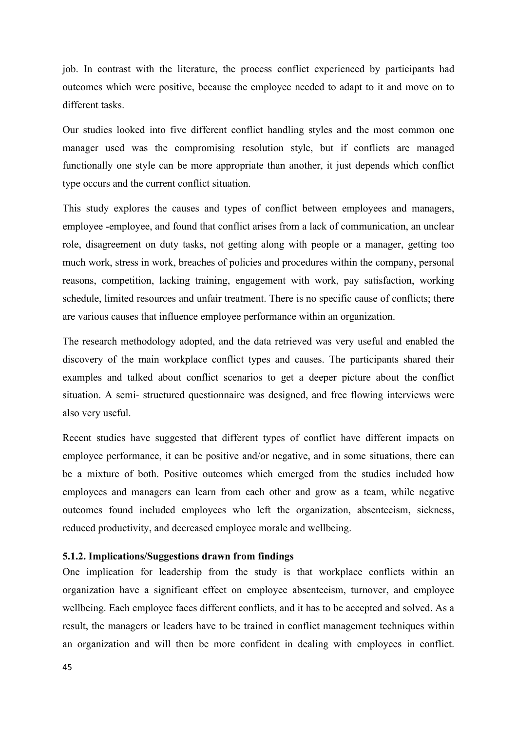job. In contrast with the literature, the process conflict experienced by participants had outcomes which were positive, because the employee needed to adapt to it and move on to different tasks.

Our studies looked into five different conflict handling styles and the most common one manager used was the compromising resolution style, but if conflicts are managed functionally one style can be more appropriate than another, it just depends which conflict type occurs and the current conflict situation.

This study explores the causes and types of conflict between employees and managers, employee -employee, and found that conflict arises from a lack of communication, an unclear role, disagreement on duty tasks, not getting along with people or a manager, getting too much work, stress in work, breaches of policies and procedures within the company, personal reasons, competition, lacking training, engagement with work, pay satisfaction, working schedule, limited resources and unfair treatment. There is no specific cause of conflicts; there are various causes that influence employee performance within an organization.

The research methodology adopted, and the data retrieved was very useful and enabled the discovery of the main workplace conflict types and causes. The participants shared their examples and talked about conflict scenarios to get a deeper picture about the conflict situation. A semi- structured questionnaire was designed, and free flowing interviews were also very useful.

Recent studies have suggested that different types of conflict have different impacts on employee performance, it can be positive and/or negative, and in some situations, there can be a mixture of both. Positive outcomes which emerged from the studies included how employees and managers can learn from each other and grow as a team, while negative outcomes found included employees who left the organization, absenteeism, sickness, reduced productivity, and decreased employee morale and wellbeing.

## **5.1.2. Implications/Suggestions drawn from findings**

One implication for leadership from the study is that workplace conflicts within an organization have a significant effect on employee absenteeism, turnover, and employee wellbeing. Each employee faces different conflicts, and it has to be accepted and solved. As a result, the managers or leaders have to be trained in conflict management techniques within an organization and will then be more confident in dealing with employees in conflict.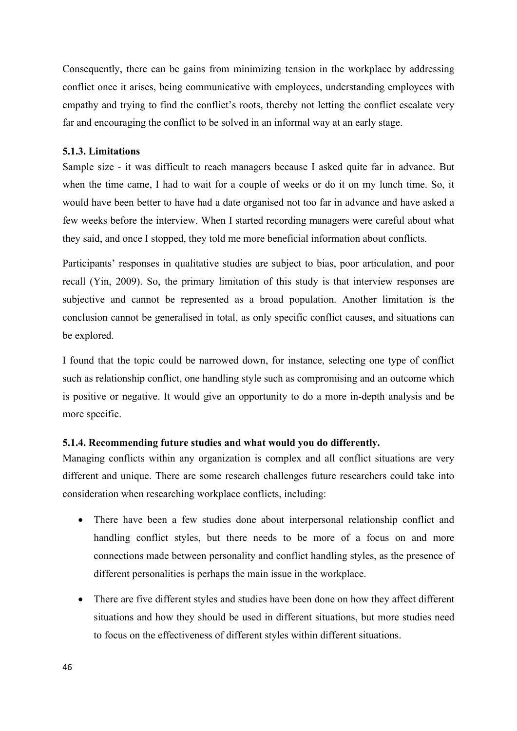Consequently, there can be gains from minimizing tension in the workplace by addressing conflict once it arises, being communicative with employees, understanding employees with empathy and trying to find the conflict's roots, thereby not letting the conflict escalate very far and encouraging the conflict to be solved in an informal way at an early stage.

## **5.1.3. Limitations**

Sample size - it was difficult to reach managers because I asked quite far in advance. But when the time came, I had to wait for a couple of weeks or do it on my lunch time. So, it would have been better to have had a date organised not too far in advance and have asked a few weeks before the interview. When I started recording managers were careful about what they said, and once I stopped, they told me more beneficial information about conflicts.

Participants' responses in qualitative studies are subject to bias, poor articulation, and poor recall (Yin, 2009). So, the primary limitation of this study is that interview responses are subjective and cannot be represented as a broad population. Another limitation is the conclusion cannot be generalised in total, as only specific conflict causes, and situations can be explored.

I found that the topic could be narrowed down, for instance, selecting one type of conflict such as relationship conflict, one handling style such as compromising and an outcome which is positive or negative. It would give an opportunity to do a more in-depth analysis and be more specific.

## **5.1.4. Recommending future studies and what would you do differently.**

Managing conflicts within any organization is complex and all conflict situations are very different and unique. There are some research challenges future researchers could take into consideration when researching workplace conflicts, including:

- There have been a few studies done about interpersonal relationship conflict and handling conflict styles, but there needs to be more of a focus on and more connections made between personality and conflict handling styles, as the presence of different personalities is perhaps the main issue in the workplace.
- There are five different styles and studies have been done on how they affect different situations and how they should be used in different situations, but more studies need to focus on the effectiveness of different styles within different situations.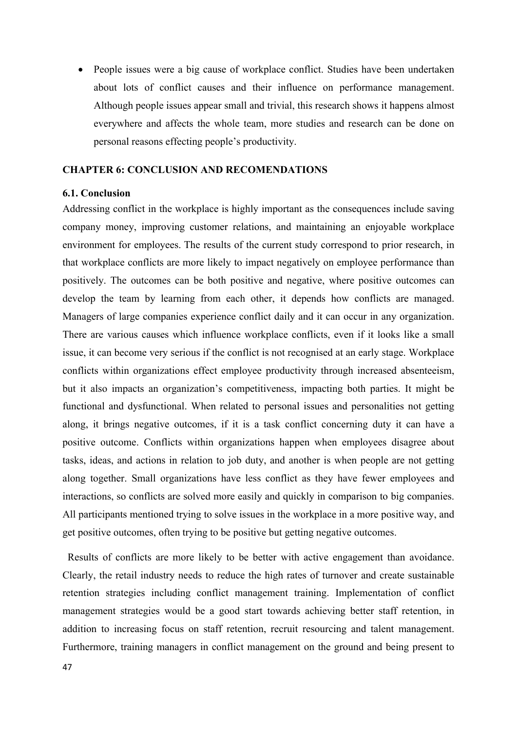• People issues were a big cause of workplace conflict. Studies have been undertaken about lots of conflict causes and their influence on performance management. Although people issues appear small and trivial, this research shows it happens almost everywhere and affects the whole team, more studies and research can be done on personal reasons effecting people's productivity.

## **CHAPTER 6: CONCLUSION AND RECOMENDATIONS**

### **6.1. Conclusion**

Addressing conflict in the workplace is highly important as the consequences include saving company money, improving customer relations, and maintaining an enjoyable workplace environment for employees. The results of the current study correspond to prior research, in that workplace conflicts are more likely to impact negatively on employee performance than positively. The outcomes can be both positive and negative, where positive outcomes can develop the team by learning from each other, it depends how conflicts are managed. Managers of large companies experience conflict daily and it can occur in any organization. There are various causes which influence workplace conflicts, even if it looks like a small issue, it can become very serious if the conflict is not recognised at an early stage. Workplace conflicts within organizations effect employee productivity through increased absenteeism, but it also impacts an organization's competitiveness, impacting both parties. It might be functional and dysfunctional. When related to personal issues and personalities not getting along, it brings negative outcomes, if it is a task conflict concerning duty it can have a positive outcome. Conflicts within organizations happen when employees disagree about tasks, ideas, and actions in relation to job duty, and another is when people are not getting along together. Small organizations have less conflict as they have fewer employees and interactions, so conflicts are solved more easily and quickly in comparison to big companies. All participants mentioned trying to solve issues in the workplace in a more positive way, and get positive outcomes, often trying to be positive but getting negative outcomes.

 Results of conflicts are more likely to be better with active engagement than avoidance. Clearly, the retail industry needs to reduce the high rates of turnover and create sustainable retention strategies including conflict management training. Implementation of conflict management strategies would be a good start towards achieving better staff retention, in addition to increasing focus on staff retention, recruit resourcing and talent management. Furthermore, training managers in conflict management on the ground and being present to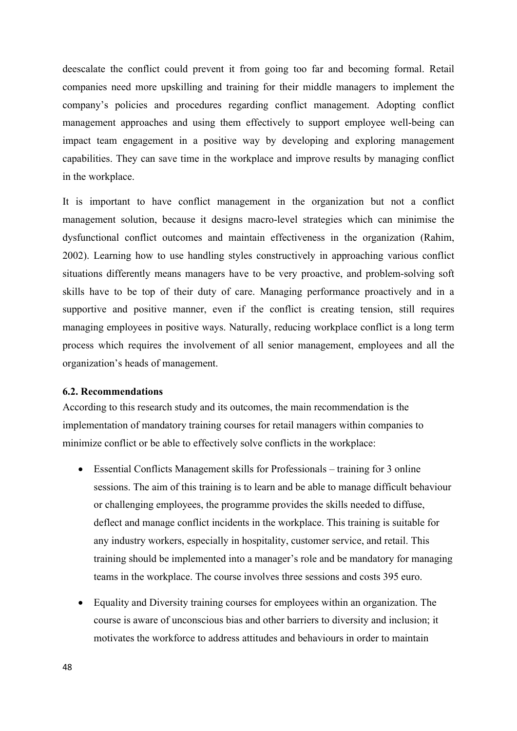deescalate the conflict could prevent it from going too far and becoming formal. Retail companies need more upskilling and training for their middle managers to implement the company's policies and procedures regarding conflict management. Adopting conflict management approaches and using them effectively to support employee well-being can impact team engagement in a positive way by developing and exploring management capabilities. They can save time in the workplace and improve results by managing conflict in the workplace.

It is important to have conflict management in the organization but not a conflict management solution, because it designs macro-level strategies which can minimise the dysfunctional conflict outcomes and maintain effectiveness in the organization (Rahim, 2002). Learning how to use handling styles constructively in approaching various conflict situations differently means managers have to be very proactive, and problem-solving soft skills have to be top of their duty of care. Managing performance proactively and in a supportive and positive manner, even if the conflict is creating tension, still requires managing employees in positive ways. Naturally, reducing workplace conflict is a long term process which requires the involvement of all senior management, employees and all the organization's heads of management.

#### **6.2. Recommendations**

According to this research study and its outcomes, the main recommendation is the implementation of mandatory training courses for retail managers within companies to minimize conflict or be able to effectively solve conflicts in the workplace:

- Essential Conflicts Management skills for Professionals training for 3 online sessions. The aim of this training is to learn and be able to manage difficult behaviour or challenging employees, the programme provides the skills needed to diffuse, deflect and manage conflict incidents in the workplace. This training is suitable for any industry workers, especially in hospitality, customer service, and retail. This training should be implemented into a manager's role and be mandatory for managing teams in the workplace. The course involves three sessions and costs 395 euro.
- Equality and Diversity training courses for employees within an organization. The course is aware of unconscious bias and other barriers to diversity and inclusion; it motivates the workforce to address attitudes and behaviours in order to maintain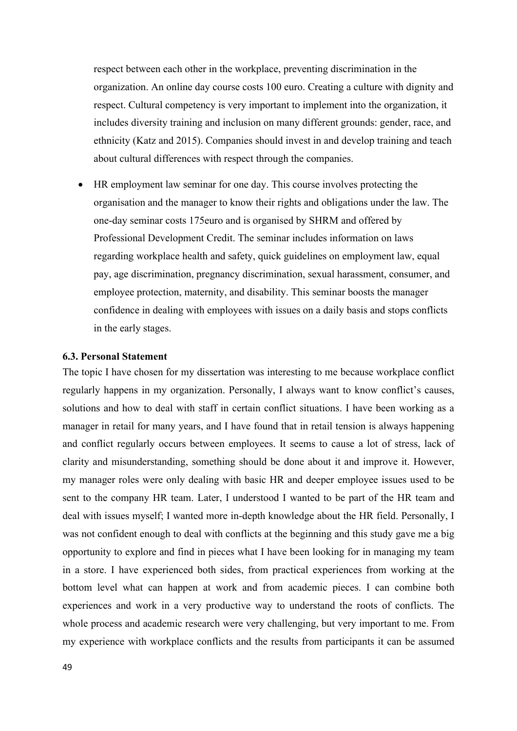respect between each other in the workplace, preventing discrimination in the organization. An online day course costs 100 euro. Creating a culture with dignity and respect. Cultural competency is very important to implement into the organization, it includes diversity training and inclusion on many different grounds: gender, race, and ethnicity (Katz and 2015). Companies should invest in and develop training and teach about cultural differences with respect through the companies.

• HR employment law seminar for one day. This course involves protecting the organisation and the manager to know their rights and obligations under the law. The one-day seminar costs 175euro and is organised by SHRM and offered by Professional Development Credit. The seminar includes information on laws regarding workplace health and safety, quick guidelines on employment law, equal pay, age discrimination, pregnancy discrimination, sexual harassment, consumer, and employee protection, maternity, and disability. This seminar boosts the manager confidence in dealing with employees with issues on a daily basis and stops conflicts in the early stages.

## **6.3. Personal Statement**

The topic I have chosen for my dissertation was interesting to me because workplace conflict regularly happens in my organization. Personally, I always want to know conflict's causes, solutions and how to deal with staff in certain conflict situations. I have been working as a manager in retail for many years, and I have found that in retail tension is always happening and conflict regularly occurs between employees. It seems to cause a lot of stress, lack of clarity and misunderstanding, something should be done about it and improve it. However, my manager roles were only dealing with basic HR and deeper employee issues used to be sent to the company HR team. Later, I understood I wanted to be part of the HR team and deal with issues myself; I wanted more in-depth knowledge about the HR field. Personally, I was not confident enough to deal with conflicts at the beginning and this study gave me a big opportunity to explore and find in pieces what I have been looking for in managing my team in a store. I have experienced both sides, from practical experiences from working at the bottom level what can happen at work and from academic pieces. I can combine both experiences and work in a very productive way to understand the roots of conflicts. The whole process and academic research were very challenging, but very important to me. From my experience with workplace conflicts and the results from participants it can be assumed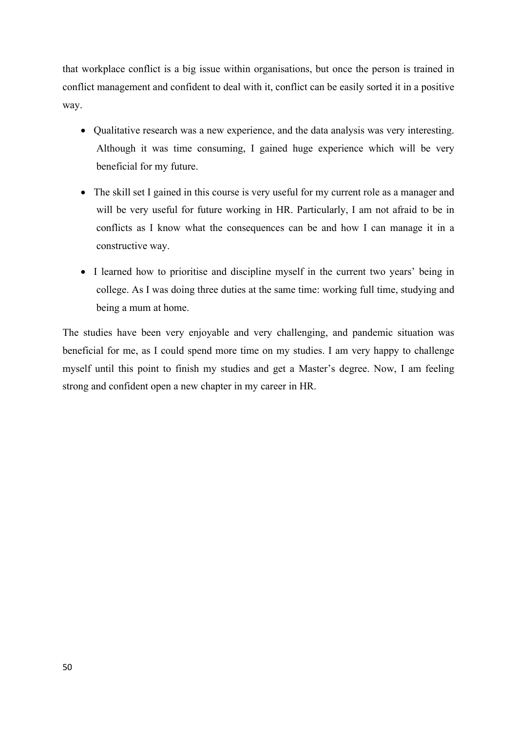that workplace conflict is a big issue within organisations, but once the person is trained in conflict management and confident to deal with it, conflict can be easily sorted it in a positive way.

- Qualitative research was a new experience, and the data analysis was very interesting. Although it was time consuming, I gained huge experience which will be very beneficial for my future.
- The skill set I gained in this course is very useful for my current role as a manager and will be very useful for future working in HR. Particularly, I am not afraid to be in conflicts as I know what the consequences can be and how I can manage it in a constructive way.
- I learned how to prioritise and discipline myself in the current two years' being in college. As I was doing three duties at the same time: working full time, studying and being a mum at home.

The studies have been very enjoyable and very challenging, and pandemic situation was beneficial for me, as I could spend more time on my studies. I am very happy to challenge myself until this point to finish my studies and get a Master's degree. Now, I am feeling strong and confident open a new chapter in my career in HR.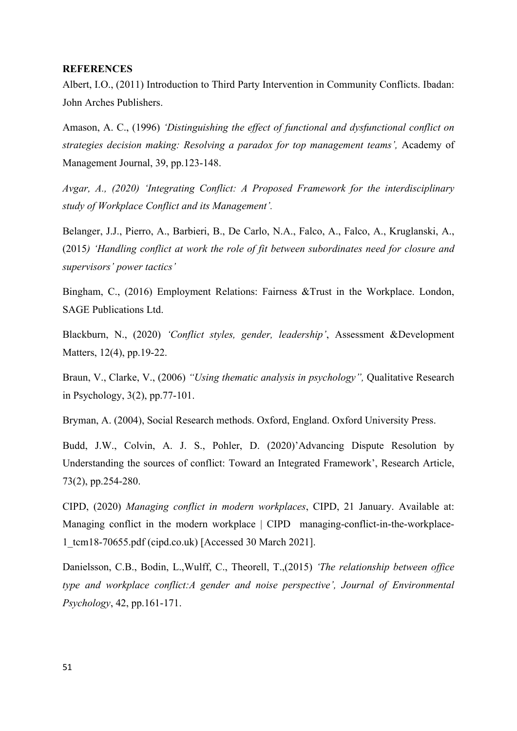#### **REFERENCES**

Albert, I.O., (2011) Introduction to Third Party Intervention in Community Conflicts. Ibadan: John Arches Publishers.

Amason, A. C., (1996) *'Distinguishing the effect of functional and dysfunctional conflict on strategies decision making: Resolving a paradox for top management teams',* Academy of Management Journal, 39, pp.123-148.

*Avgar, A., (2020) 'Integrating Conflict: A Proposed Framework for the interdisciplinary study of Workplace Conflict and its Management'.* 

Belanger, J.J., Pierro, A., Barbieri, B., De Carlo, N.A., Falco, A., Falco, A., Kruglanski, A., (2015*) 'Handling conflict at work the role of fit between subordinates need for closure and supervisors' power tactics'*

Bingham, C., (2016) Employment Relations: Fairness &Trust in the Workplace. London, SAGE Publications Ltd.

Blackburn, N., (2020) *'Conflict styles, gender, leadership'*, Assessment &Development Matters, 12(4), pp.19-22.

Braun, V., Clarke, V., (2006) *"Using thematic analysis in psychology",* Qualitative Research in Psychology, 3(2), pp.77-101.

Bryman, A. (2004), Social Research methods. Oxford, England. Oxford University Press.

Budd, J.W., Colvin, A. J. S., Pohler, D. (2020)'Advancing Dispute Resolution by Understanding the sources of conflict: Toward an Integrated Framework', Research Article, 73(2), pp.254-280.

CIPD, (2020) *Managing conflict in modern workplaces*, CIPD, 21 January. Available at: [Managing conflict in the modern workplace | CIPD](https://www.cipd.co.uk/knowledge/fundamentals/relations/disputes/managing-workplace-conflict-report) [managing-conflict-in-the-workplace-](https://www.cipd.co.uk/Images/managing-conflict-in-the-workplace-1_tcm18-70655.pdf)[1\\_tcm18-70655.pdf \(cipd.co.uk\)](https://www.cipd.co.uk/Images/managing-conflict-in-the-workplace-1_tcm18-70655.pdf) [Accessed 30 March 2021].

Danielsson, C.B., Bodin, L.,Wulff, C., Theorell, T.,(2015) *'The relationship between office type and workplace conflict:A gender and noise perspective', Journal of Environmental Psychology*, 42, pp.161-171.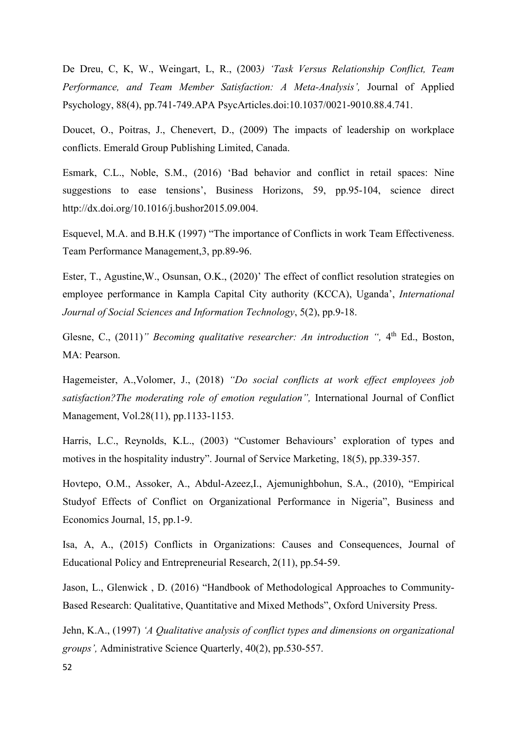De Dreu, C, K, W., Weingart, L, R., (2003*) 'Task Versus Relationship Conflict, Team Performance, and Team Member Satisfaction: A Meta-Analysis',* Journal of Applied Psychology, 88(4), pp.741-749.APA PsycArticles.doi:10.1037/0021-9010.88.4.741.

Doucet, O., Poitras, J., Chenevert, D., (2009) The impacts of leadership on workplace conflicts. Emerald Group Publishing Limited, Canada.

Esmark, C.L., Noble, S.M., (2016) 'Bad behavior and conflict in retail spaces: Nine suggestions to ease tensions', Business Horizons, 59, pp.95-104, science direct [http://dx.doi.org/10.1016/j.bushor2015.09.004.](http://dx.doi.org/10.1016/j.bushor2015.09.004)

Esquevel, M.A. and B.H.K (1997) "The importance of Conflicts in work Team Effectiveness. Team Performance Management,3, pp.89-96.

Ester, T., Agustine,W., Osunsan, O.K., (2020)' The effect of conflict resolution strategies on employee performance in Kampla Capital City authority (KCCA), Uganda', *International Journal of Social Sciences and Information Technology*, 5(2), pp.9-18.

Glesne, C., (2011)<sup>"</sup> *Becoming qualitative researcher: An introduction* ", 4<sup>th</sup> Ed., Boston, MA: Pearson.

Hagemeister, A.,Volomer, J., (2018) *"Do social conflicts at work effect employees job satisfaction?The moderating role of emotion regulation",* International Journal of Conflict Management, Vol.28(11), pp.1133-1153.

Harris, L.C., Reynolds, K.L., (2003) "Customer Behaviours' exploration of types and motives in the hospitality industry". Journal of Service Marketing, 18(5), pp.339-357.

Hovtepo, O.M., Assoker, A., Abdul-Azeez,I., Ajemunighbohun, S.A., (2010), "Empirical Studyof Effects of Conflict on Organizational Performance in Nigeria", Business and Economics Journal, 15, pp.1-9.

Isa, A, A., (2015) Conflicts in Organizations: Causes and Consequences, Journal of Educational Policy and Entrepreneurial Research, 2(11), pp.54-59.

Jason, L., Glenwick , D. (2016) "Handbook of Methodological Approaches to Community-Based Research: Qualitative, Quantitative and Mixed Methods", Oxford University Press.

Jehn, K.A., (1997) *'A Qualitative analysis of conflict types and dimensions on organizational groups',* Administrative Science Quarterly, 40(2), pp.530-557.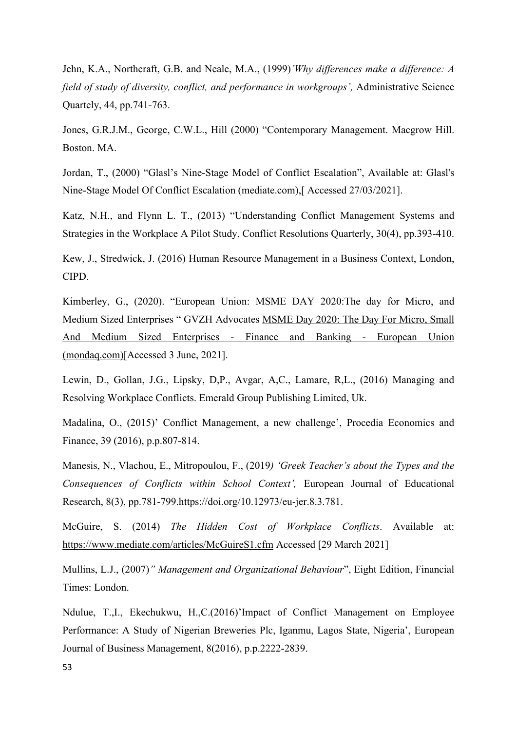Jehn, K.A., Northcraft, G.B. and Neale, M.A., (1999)*'Why differences make a difference: A field of study of diversity, conflict, and performance in workgroups',* Administrative Science Quartely, 44, pp.741-763.

Jones, G.R.J.M., George, C.W.L., Hill (2000) "Contemporary Management. Macgrow Hill. Boston. MA.

Jordan, T., (2000) "Glasl's Nine-Stage Model of Conflict Escalation", Available at: [Glasl's](https://www.mediate.com/articles/jordan.cfm)  [Nine-Stage Model Of Conflict Escalation \(mediate.com\),](https://www.mediate.com/articles/jordan.cfm)[ Accessed 27/03/2021].

Katz, N.H., and Flynn L. T., (2013) "Understanding Conflict Management Systems and Strategies in the Workplace A Pilot Study, Conflict Resolutions Quarterly, 30(4), pp.393-410.

Kew, J., Stredwick, J. (2016) Human Resource Management in a Business Context, London, CIPD.

Kimberley, G., (2020). "European Union: MSME DAY 2020:The day for Micro, and Medium Sized Enterprises " GVZH Advocates [MSME Day 2020: The Day For Micro, Small](https://www.mondaq.com/fund-management-reits/959650/msme-day-2020-the-day-for-micro-small-and-medium-sized-enterprises)  [And Medium Sized Enterprises -](https://www.mondaq.com/fund-management-reits/959650/msme-day-2020-the-day-for-micro-small-and-medium-sized-enterprises) Finance and Banking - European Union [\(mondaq.com\)\[](https://www.mondaq.com/fund-management-reits/959650/msme-day-2020-the-day-for-micro-small-and-medium-sized-enterprises)Accessed 3 June, 2021].

Lewin, D., Gollan, J.G., Lipsky, D,P., Avgar, A,C., Lamare, R,L., (2016) Managing and Resolving Workplace Conflicts. Emerald Group Publishing Limited, Uk.

Madalina, O., (2015)' Conflict Management, a new challenge', Procedia Economics and Finance, 39 (2016), p.p.807-814.

Manesis, N., Vlachou, E., Mitropoulou, F., (2019*) 'Greek Teacher's about the Types and the Consequences of Conflicts within School Context',* European Journal of Educational Research, 8(3), pp.781-799.https://doi.org/10.12973/eu-jer.8.3.781.

McGuire, S. (2014) *The Hidden Cost of Workplace Conflicts*. Available at: <https://www.mediate.com/articles/McGuireS1.cfm> Accessed [29 March 2021]

Mullins, L.J., (2007)*" Management and Organizational Behaviour*", Eight Edition, Financial Times: London.

Ndulue, T.,I., Ekechukwu, H.,C.(2016)'Impact of Conflict Management on Employee Performance: A Study of Nigerian Breweries Plc, Iganmu, Lagos State, Nigeria', European Journal of Business Management, 8(2016), p.p.2222-2839.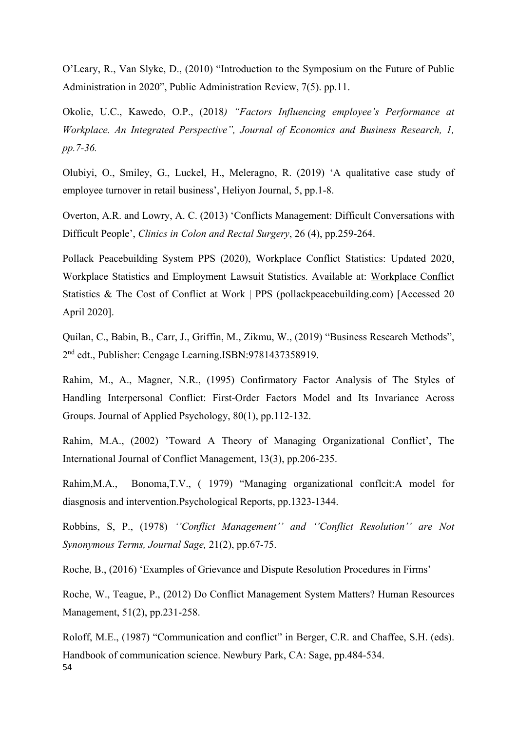O'Leary, R., Van Slyke, D., (2010) "Introduction to the Symposium on the Future of Public Administration in 2020", Public Administration Review, 7(5). pp.11.

Okolie, U.C., Kawedo, O.P., (2018*) "Factors Influencing employee's Performance at Workplace. An Integrated Perspective", Journal of Economics and Business Research, 1, pp.7-36.*

Olubiyi, O., Smiley, G., Luckel, H., Meleragno, R. (2019) 'A qualitative case study of employee turnover in retail business', Heliyon Journal, 5, pp.1-8.

Overton, A.R. and Lowry, A. C. (2013) 'Conflicts Management: Difficult Conversations with Difficult People', *Clinics in Colon and Rectal Surgery*, 26 (4), pp.259-264.

Pollack Peacebuilding System PPS (2020), Workplace Conflict Statistics: Updated 2020, Workplace Statistics and Employment Lawsuit Statistics. Available at: [Workplace Conflict](https://pollackpeacebuilding.com/workplace-conflict-statistics/)  [Statistics & The Cost of Conflict at Work | PPS \(pollackpeacebuilding.com\)](https://pollackpeacebuilding.com/workplace-conflict-statistics/) [Accessed 20 April 2020].

Quilan, C., Babin, B., Carr, J., Griffin, M., Zikmu, W., (2019) "Business Research Methods", 2nd edt., Publisher: Cengage Learning.ISBN:9781437358919.

Rahim, M., A., Magner, N.R., (1995) Confirmatory Factor Analysis of The Styles of Handling Interpersonal Conflict: First-Order Factors Model and Its Invariance Across Groups. Journal of Applied Psychology, 80(1), pp.112-132.

Rahim, M.A., (2002) 'Toward A Theory of Managing Organizational Conflict', The International Journal of Conflict Management, 13(3), pp.206-235.

Rahim,M.A., Bonoma,T.V., ( 1979) "Managing organizational conflcit:A model for diasgnosis and intervention.Psychological Reports, pp.1323-1344.

Robbins, S, P., (1978) *''Conflict Management'' and ''Conflict Resolution'' are Not Synonymous Terms, Journal Sage,* 21(2), pp.67-75.

Roche, B., (2016) 'Examples of Grievance and Dispute Resolution Procedures in Firms'

Roche, W., Teague, P., (2012) Do Conflict Management System Matters? Human Resources Management, 51(2), pp.231-258.

54 Roloff, M.E., (1987) "Communication and conflict" in Berger, C.R. and Chaffee, S.H. (eds). Handbook of communication science. Newbury Park, CA: Sage, pp.484-534.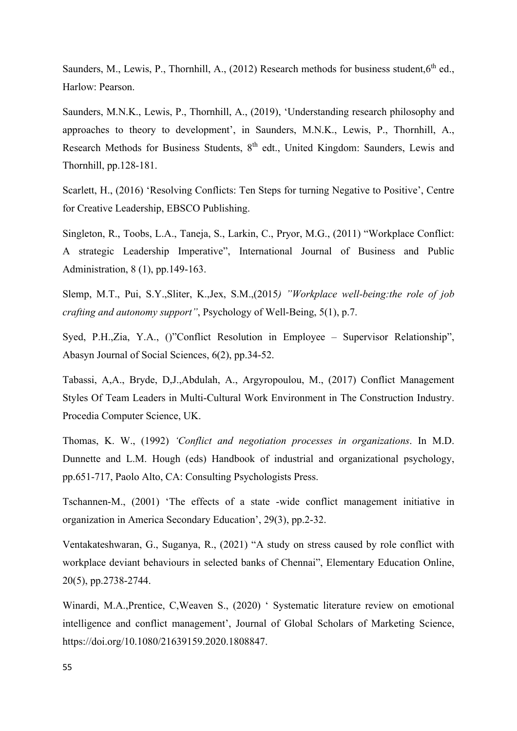Saunders, M., Lewis, P., Thornhill, A., (2012) Research methods for business student.6<sup>th</sup> ed., Harlow: Pearson.

Saunders, M.N.K., Lewis, P., Thornhill, A., (2019), 'Understanding research philosophy and approaches to theory to development', in Saunders, M.N.K., Lewis, P., Thornhill, A., Research Methods for Business Students, 8<sup>th</sup> edt., United Kingdom: Saunders, Lewis and Thornhill, pp.128-181.

Scarlett, H., (2016) 'Resolving Conflicts: Ten Steps for turning Negative to Positive', Centre for Creative Leadership, EBSCO Publishing.

Singleton, R., Toobs, L.A., Taneja, S., Larkin, C., Pryor, M.G., (2011) "Workplace Conflict: A strategic Leadership Imperative", International Journal of Business and Public Administration, 8 (1), pp.149-163.

Slemp, M.T., Pui, S.Y.,Sliter, K.,Jex, S.M.,(2015*) "Workplace well-being:the role of job crafting and autonomy support"*, Psychology of Well-Being, 5(1), p.7.

Syed, P.H.,Zia, Y.A., ()"Conflict Resolution in Employee – Supervisor Relationship", Abasyn Journal of Social Sciences, 6(2), pp.34-52.

Tabassi, A,A., Bryde, D,J.,Abdulah, A., Argyropoulou, M., (2017) Conflict Management Styles Of Team Leaders in Multi-Cultural Work Environment in The Construction Industry. Procedia Computer Science, UK.

Thomas, K. W., (1992) *'Conflict and negotiation processes in organizations*. In M.D. Dunnette and L.M. Hough (eds) Handbook of industrial and organizational psychology, pp.651-717, Paolo Alto, CA: Consulting Psychologists Press.

Tschannen-M., (2001) 'The effects of a state -wide conflict management initiative in organization in America Secondary Education', 29(3), pp.2-32.

Ventakateshwaran, G., Suganya, R., (2021) "A study on stress caused by role conflict with workplace deviant behaviours in selected banks of Chennai", Elementary Education Online, 20(5), pp.2738-2744.

Winardi, M.A.,Prentice, C,Weaven S., (2020) ' Systematic literature review on emotional intelligence and conflict management', Journal of Global Scholars of Marketing Science, https://doi.org/10.1080/21639159.2020.1808847.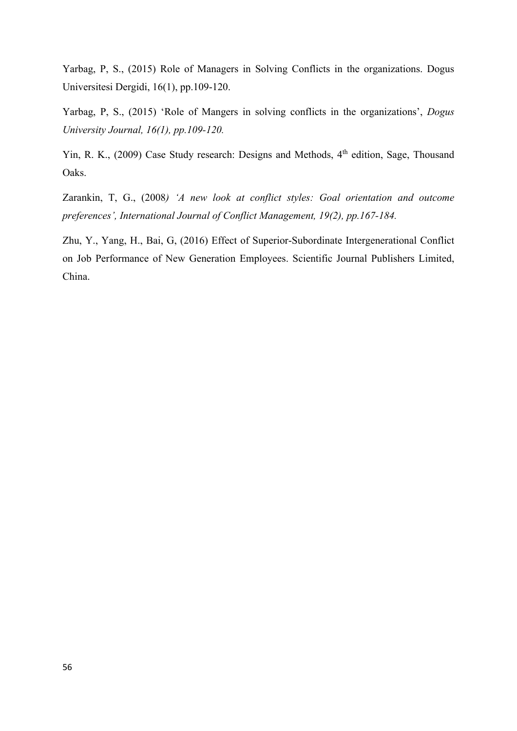Yarbag, P, S., (2015) Role of Managers in Solving Conflicts in the organizations. Dogus Universitesi Dergidi, 16(1), pp.109-120.

Yarbag, P, S., (2015) 'Role of Mangers in solving conflicts in the organizations', *Dogus University Journal, 16(1), pp.109-120.*

Yin, R. K., (2009) Case Study research: Designs and Methods, 4<sup>th</sup> edition, Sage, Thousand Oaks.

Zarankin, T, G., (2008*) 'A new look at conflict styles: Goal orientation and outcome preferences', International Journal of Conflict Management, 19(2), pp.167-184.*

Zhu, Y., Yang, H., Bai, G, (2016) Effect of Superior-Subordinate Intergenerational Conflict on Job Performance of New Generation Employees. Scientific Journal Publishers Limited, China.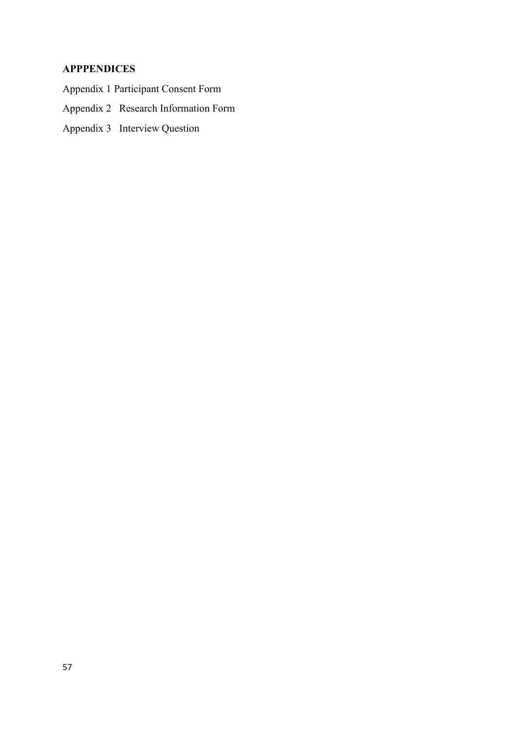# **APPPENDICES**

- Appendix 1 Participant Consent Form
- Appendix 2 Research Information Form
- Appendix 3 Interview Question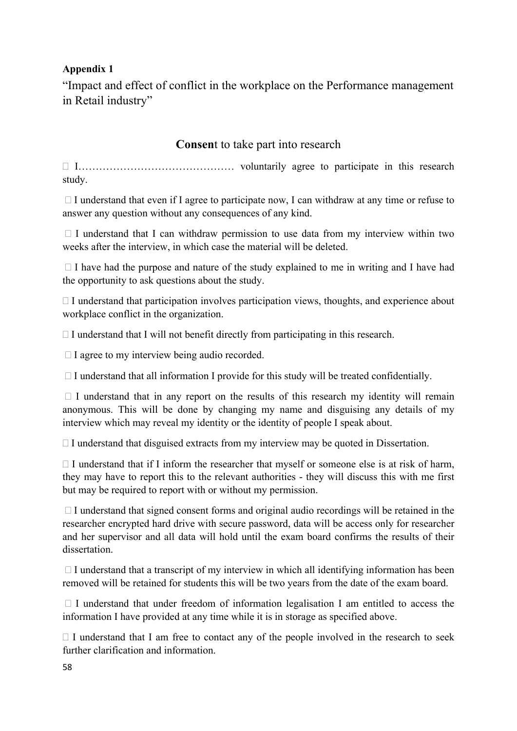# **Appendix 1**

"Impact and effect of conflict in the workplace on the Performance management in Retail industry"

# **Consen**t to take part into research

 I……………………………………… voluntarily agree to participate in this research study.

 $\Box$  I understand that even if I agree to participate now, I can withdraw at any time or refuse to answer any question without any consequences of any kind.

 $\Box$  I understand that I can withdraw permission to use data from my interview within two weeks after the interview, in which case the material will be deleted.

 $\Box$  I have had the purpose and nature of the study explained to me in writing and I have had the opportunity to ask questions about the study.

 $\Box$  I understand that participation involves participation views, thoughts, and experience about workplace conflict in the organization.

 $\Box$  I understand that I will not benefit directly from participating in this research.

 $\Box$  I agree to my interview being audio recorded.

 $\Box$  I understand that all information I provide for this study will be treated confidentially.

 $\Box$  I understand that in any report on the results of this research my identity will remain anonymous. This will be done by changing my name and disguising any details of my interview which may reveal my identity or the identity of people I speak about.

 $\Box$  I understand that disguised extracts from my interview may be quoted in Dissertation.

 $\Box$  I understand that if I inform the researcher that myself or someone else is at risk of harm, they may have to report this to the relevant authorities - they will discuss this with me first but may be required to report with or without my permission.

 $\Box$  I understand that signed consent forms and original audio recordings will be retained in the researcher encrypted hard drive with secure password, data will be access only for researcher and her supervisor and all data will hold until the exam board confirms the results of their dissertation.

 $\Box$  I understand that a transcript of my interview in which all identifying information has been removed will be retained for students this will be two years from the date of the exam board.

 $\Box$  I understand that under freedom of information legalisation I am entitled to access the information I have provided at any time while it is in storage as specified above.

 $\Box$  I understand that I am free to contact any of the people involved in the research to seek further clarification and information.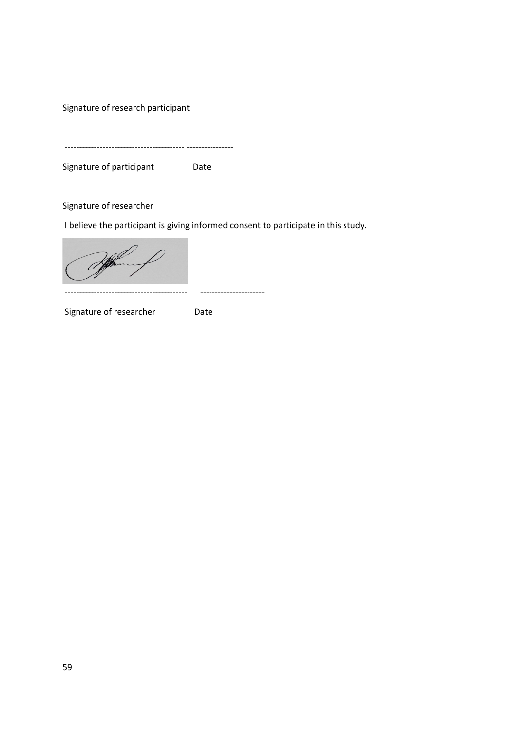Signature of research participant

----------------------------------------- ----------------

Signature of participant Date

Signature of researcher

I believe the participant is giving informed consent to participate in this study.

------------------------------------------ ----------------------

Signature of researcher **Date**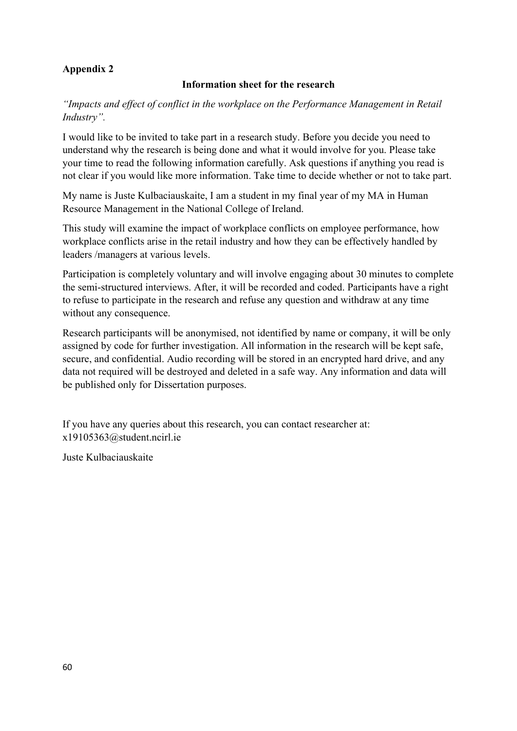# **Appendix 2**

# **Information sheet for the research**

*"Impacts and effect of conflict in the workplace on the Performance Management in Retail Industry".*

I would like to be invited to take part in a research study. Before you decide you need to understand why the research is being done and what it would involve for you. Please take your time to read the following information carefully. Ask questions if anything you read is not clear if you would like more information. Take time to decide whether or not to take part.

My name is Juste Kulbaciauskaite, I am a student in my final year of my MA in Human Resource Management in the National College of Ireland.

This study will examine the impact of workplace conflicts on employee performance, how workplace conflicts arise in the retail industry and how they can be effectively handled by leaders /managers at various levels.

Participation is completely voluntary and will involve engaging about 30 minutes to complete the semi-structured interviews. After, it will be recorded and coded. Participants have a right to refuse to participate in the research and refuse any question and withdraw at any time without any consequence.

Research participants will be anonymised, not identified by name or company, it will be only assigned by code for further investigation. All information in the research will be kept safe, secure, and confidential. Audio recording will be stored in an encrypted hard drive, and any data not required will be destroyed and deleted in a safe way. Any information and data will be published only for Dissertation purposes.

If you have any queries about this research, you can contact researcher at: x19105363@student.ncirl.ie

Juste Kulbaciauskaite